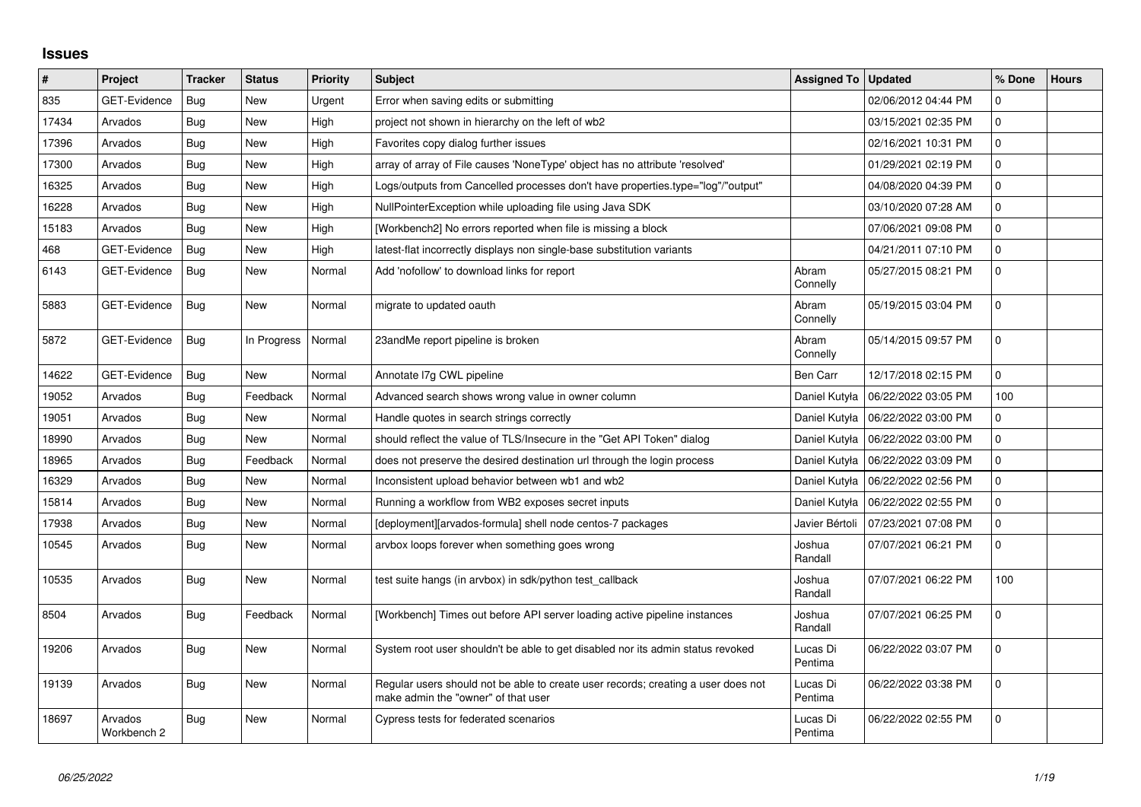## **Issues**

| $\vert$ # | Project                | <b>Tracker</b> | <b>Status</b> | <b>Priority</b> | <b>Subject</b>                                                                                                           | <b>Assigned To</b>  | <b>Updated</b>                      | % Done       | <b>Hours</b> |
|-----------|------------------------|----------------|---------------|-----------------|--------------------------------------------------------------------------------------------------------------------------|---------------------|-------------------------------------|--------------|--------------|
| 835       | GET-Evidence           | Bug            | <b>New</b>    | Urgent          | Error when saving edits or submitting                                                                                    |                     | 02/06/2012 04:44 PM                 | $\mathbf{0}$ |              |
| 17434     | Arvados                | <b>Bug</b>     | <b>New</b>    | High            | project not shown in hierarchy on the left of wb2                                                                        |                     | 03/15/2021 02:35 PM                 | $\mathbf{0}$ |              |
| 17396     | Arvados                | Bug            | <b>New</b>    | High            | Favorites copy dialog further issues                                                                                     |                     | 02/16/2021 10:31 PM                 | $\mathbf 0$  |              |
| 17300     | Arvados                | Bug            | <b>New</b>    | High            | array of array of File causes 'NoneType' object has no attribute 'resolved'                                              |                     | 01/29/2021 02:19 PM                 | $\mathbf 0$  |              |
| 16325     | Arvados                | Bug            | <b>New</b>    | High            | Logs/outputs from Cancelled processes don't have properties.type="log"/"output"                                          |                     | 04/08/2020 04:39 PM                 | $\Omega$     |              |
| 16228     | Arvados                | Bug            | New           | High            | NullPointerException while uploading file using Java SDK                                                                 |                     | 03/10/2020 07:28 AM                 | $\mathbf 0$  |              |
| 15183     | Arvados                | Bug            | <b>New</b>    | High            | [Workbench2] No errors reported when file is missing a block                                                             |                     | 07/06/2021 09:08 PM                 | $\mathbf 0$  |              |
| 468       | GET-Evidence           | Bug            | New           | High            | latest-flat incorrectly displays non single-base substitution variants                                                   |                     | 04/21/2011 07:10 PM                 | $\mathbf 0$  |              |
| 6143      | GET-Evidence           | Bug            | <b>New</b>    | Normal          | Add 'nofollow' to download links for report                                                                              | Abram<br>Connelly   | 05/27/2015 08:21 PM                 | $\mathbf 0$  |              |
| 5883      | GET-Evidence           | Bug            | New           | Normal          | migrate to updated oauth                                                                                                 | Abram<br>Connelly   | 05/19/2015 03:04 PM                 | $\mathbf 0$  |              |
| 5872      | <b>GET-Evidence</b>    | <b>Bug</b>     | In Progress   | Normal          | 23andMe report pipeline is broken                                                                                        | Abram<br>Connelly   | 05/14/2015 09:57 PM                 | $\Omega$     |              |
| 14622     | GET-Evidence           | Bug            | New           | Normal          | Annotate I7g CWL pipeline                                                                                                | Ben Carr            | 12/17/2018 02:15 PM                 | $\mathbf 0$  |              |
| 19052     | Arvados                | Bug            | Feedback      | Normal          | Advanced search shows wrong value in owner column                                                                        | Daniel Kutyła       | 06/22/2022 03:05 PM                 | 100          |              |
| 19051     | Arvados                | Bug            | <b>New</b>    | Normal          | Handle quotes in search strings correctly                                                                                |                     | Daniel Kutyła   06/22/2022 03:00 PM | $\mathbf{0}$ |              |
| 18990     | Arvados                | <b>Bug</b>     | <b>New</b>    | Normal          | should reflect the value of TLS/Insecure in the "Get API Token" dialog                                                   | Daniel Kutyła       | 06/22/2022 03:00 PM                 | $\mathbf 0$  |              |
| 18965     | Arvados                | Bug            | Feedback      | Normal          | does not preserve the desired destination url through the login process                                                  | Daniel Kutyła       | 06/22/2022 03:09 PM                 | $\mathbf 0$  |              |
| 16329     | Arvados                | Bug            | <b>New</b>    | Normal          | Inconsistent upload behavior between wb1 and wb2                                                                         | Daniel Kutyła       | 06/22/2022 02:56 PM                 | $\mathbf 0$  |              |
| 15814     | Arvados                | Bug            | New           | Normal          | Running a workflow from WB2 exposes secret inputs                                                                        | Daniel Kutyła       | 06/22/2022 02:55 PM                 | $\mathbf 0$  |              |
| 17938     | Arvados                | Bug            | <b>New</b>    | Normal          | [deployment][arvados-formula] shell node centos-7 packages                                                               | Javier Bértoli      | 07/23/2021 07:08 PM                 | $\mathbf 0$  |              |
| 10545     | Arvados                | <b>Bug</b>     | New           | Normal          | arvbox loops forever when something goes wrong                                                                           | Joshua<br>Randall   | 07/07/2021 06:21 PM                 | $\mathbf 0$  |              |
| 10535     | Arvados                | Bug            | <b>New</b>    | Normal          | test suite hangs (in arvbox) in sdk/python test callback                                                                 | Joshua<br>Randall   | 07/07/2021 06:22 PM                 | 100          |              |
| 8504      | Arvados                | Bug            | Feedback      | Normal          | [Workbench] Times out before API server loading active pipeline instances                                                | Joshua<br>Randall   | 07/07/2021 06:25 PM                 | $\Omega$     |              |
| 19206     | Arvados                | Bug            | <b>New</b>    | Normal          | System root user shouldn't be able to get disabled nor its admin status revoked                                          | Lucas Di<br>Pentima | 06/22/2022 03:07 PM                 | $\Omega$     |              |
| 19139     | Arvados                | Bug            | <b>New</b>    | Normal          | Regular users should not be able to create user records; creating a user does not<br>make admin the "owner" of that user | Lucas Di<br>Pentima | 06/22/2022 03:38 PM                 | $\mathbf 0$  |              |
| 18697     | Arvados<br>Workbench 2 | Bug            | <b>New</b>    | Normal          | Cypress tests for federated scenarios                                                                                    | Lucas Di<br>Pentima | 06/22/2022 02:55 PM                 | $\mathbf 0$  |              |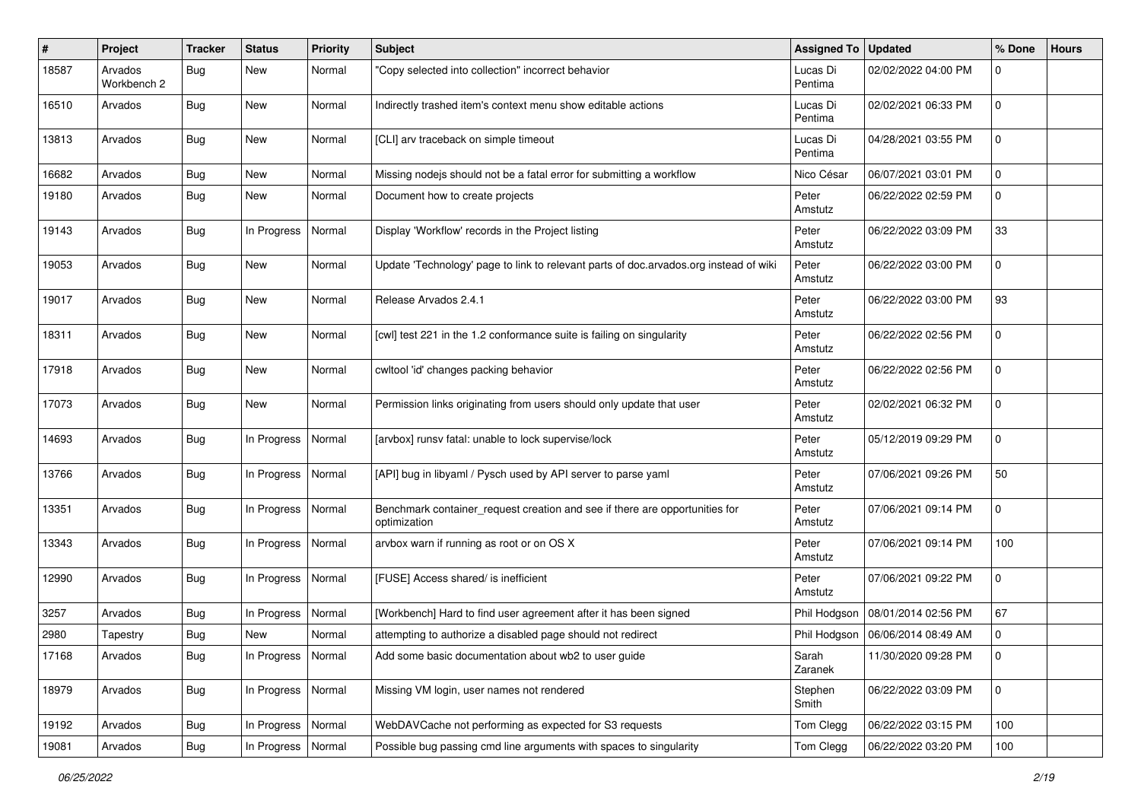| #     | Project                | Tracker    | <b>Status</b>        | <b>Priority</b> | <b>Subject</b>                                                                              | <b>Assigned To</b>  | <b>Updated</b>                     | % Done      | <b>Hours</b> |
|-------|------------------------|------------|----------------------|-----------------|---------------------------------------------------------------------------------------------|---------------------|------------------------------------|-------------|--------------|
| 18587 | Arvados<br>Workbench 2 | <b>Bug</b> | New                  | Normal          | 'Copy selected into collection" incorrect behavior                                          | Lucas Di<br>Pentima | 02/02/2022 04:00 PM                | 0           |              |
| 16510 | Arvados                | <b>Bug</b> | New                  | Normal          | Indirectly trashed item's context menu show editable actions                                | Lucas Di<br>Pentima | 02/02/2021 06:33 PM                | 0           |              |
| 13813 | Arvados                | Bug        | New                  | Normal          | [CLI] arv traceback on simple timeout                                                       | Lucas Di<br>Pentima | 04/28/2021 03:55 PM                | $\mathbf 0$ |              |
| 16682 | Arvados                | <b>Bug</b> | New                  | Normal          | Missing nodejs should not be a fatal error for submitting a workflow                        | Nico César          | 06/07/2021 03:01 PM                | $\mathbf 0$ |              |
| 19180 | Arvados                | <b>Bug</b> | New                  | Normal          | Document how to create projects                                                             | Peter<br>Amstutz    | 06/22/2022 02:59 PM                | 0           |              |
| 19143 | Arvados                | Bug        | In Progress          | Normal          | Display 'Workflow' records in the Project listing                                           | Peter<br>Amstutz    | 06/22/2022 03:09 PM                | 33          |              |
| 19053 | Arvados                | <b>Bug</b> | New                  | Normal          | Update 'Technology' page to link to relevant parts of doc.arvados.org instead of wiki       | Peter<br>Amstutz    | 06/22/2022 03:00 PM                | $\mathbf 0$ |              |
| 19017 | Arvados                | <b>Bug</b> | New                  | Normal          | Release Arvados 2.4.1                                                                       | Peter<br>Amstutz    | 06/22/2022 03:00 PM                | 93          |              |
| 18311 | Arvados                | Bug        | New                  | Normal          | [cwl] test 221 in the 1.2 conformance suite is failing on singularity                       | Peter<br>Amstutz    | 06/22/2022 02:56 PM                | $\mathbf 0$ |              |
| 17918 | Arvados                | Bug        | New                  | Normal          | cwltool 'id' changes packing behavior                                                       | Peter<br>Amstutz    | 06/22/2022 02:56 PM                | $\mathbf 0$ |              |
| 17073 | Arvados                | Bug        | New                  | Normal          | Permission links originating from users should only update that user                        | Peter<br>Amstutz    | 02/02/2021 06:32 PM                | $\mathbf 0$ |              |
| 14693 | Arvados                | <b>Bug</b> | In Progress          | Normal          | [arvbox] runsv fatal: unable to lock supervise/lock                                         | Peter<br>Amstutz    | 05/12/2019 09:29 PM                | $\mathbf 0$ |              |
| 13766 | Arvados                | Bug        | In Progress          | Normal          | [API] bug in libyaml / Pysch used by API server to parse yaml                               | Peter<br>Amstutz    | 07/06/2021 09:26 PM                | 50          |              |
| 13351 | Arvados                | Bug        | In Progress          | Normal          | Benchmark container_request creation and see if there are opportunities for<br>optimization | Peter<br>Amstutz    | 07/06/2021 09:14 PM                | $\mathbf 0$ |              |
| 13343 | Arvados                | <b>Bug</b> | In Progress          | Normal          | arvbox warn if running as root or on OS X                                                   | Peter<br>Amstutz    | 07/06/2021 09:14 PM                | 100         |              |
| 12990 | Arvados                | Bug        | In Progress          | Normal          | [FUSE] Access shared/ is inefficient                                                        | Peter<br>Amstutz    | 07/06/2021 09:22 PM                | $\mathbf 0$ |              |
| 3257  | Arvados                | <b>Bug</b> | In Progress          | Normal          | [Workbench] Hard to find user agreement after it has been signed                            | Phil Hodgson        | 08/01/2014 02:56 PM                | 67          |              |
| 2980  | Tapestry               | <b>Bug</b> | New                  | Normal          | attempting to authorize a disabled page should not redirect                                 |                     | Phil Hodgson   06/06/2014 08:49 AM | $\mathbf 0$ |              |
| 17168 | Arvados                | <b>Bug</b> | In Progress   Normal |                 | Add some basic documentation about wb2 to user guide                                        | Sarah<br>Zaranek    | 11/30/2020 09:28 PM                | 0           |              |
| 18979 | Arvados                | <b>Bug</b> | In Progress          | Normal          | Missing VM login, user names not rendered                                                   | Stephen<br>Smith    | 06/22/2022 03:09 PM                | 0           |              |
| 19192 | Arvados                | <b>Bug</b> | In Progress          | Normal          | WebDAVCache not performing as expected for S3 requests                                      | Tom Clegg           | 06/22/2022 03:15 PM                | 100         |              |
| 19081 | Arvados                | Bug        | In Progress          | Normal          | Possible bug passing cmd line arguments with spaces to singularity                          | Tom Clegg           | 06/22/2022 03:20 PM                | 100         |              |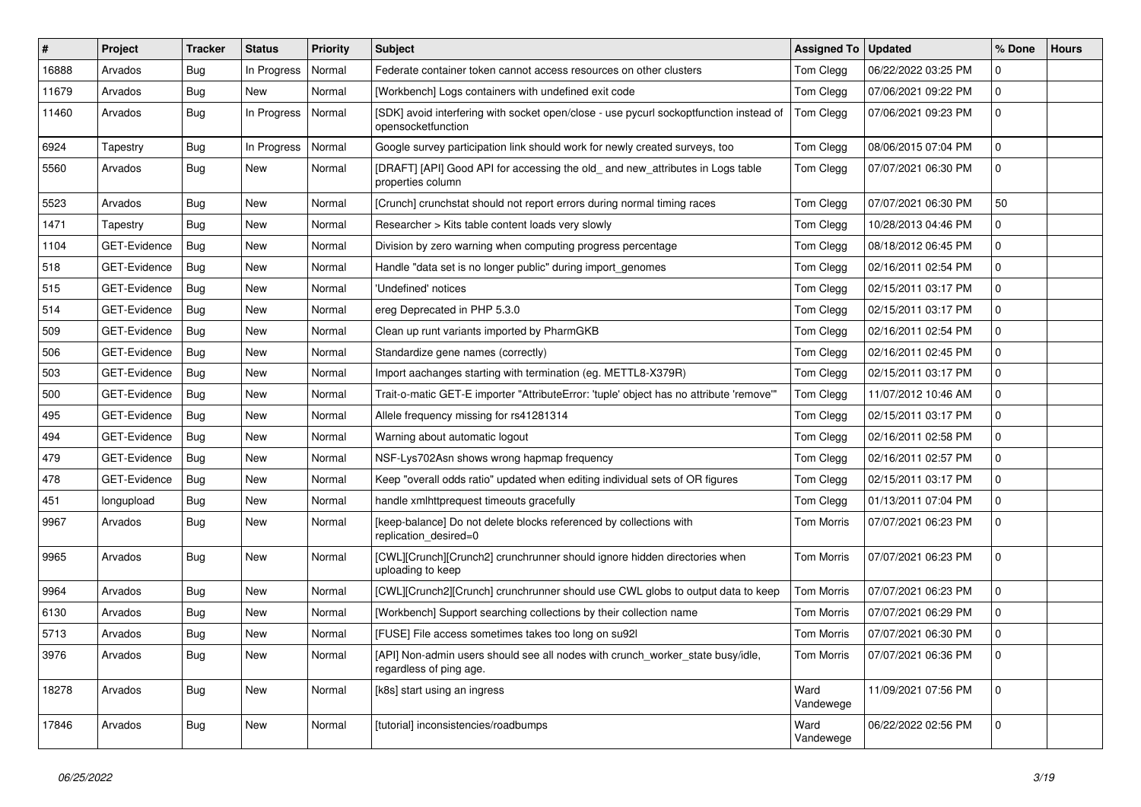| ∥#    | Project             | <b>Tracker</b> | <b>Status</b> | Priority | <b>Subject</b>                                                                                               | <b>Assigned To</b> | <b>Updated</b>      | % Done       | <b>Hours</b> |
|-------|---------------------|----------------|---------------|----------|--------------------------------------------------------------------------------------------------------------|--------------------|---------------------|--------------|--------------|
| 16888 | Arvados             | Bug            | In Progress   | Normal   | Federate container token cannot access resources on other clusters                                           | Tom Clegg          | 06/22/2022 03:25 PM | $\mathbf 0$  |              |
| 11679 | Arvados             | Bug            | <b>New</b>    | Normal   | [Workbench] Logs containers with undefined exit code                                                         | Tom Clegg          | 07/06/2021 09:22 PM | $\mathbf 0$  |              |
| 11460 | Arvados             | Bug            | In Progress   | Normal   | [SDK] avoid interfering with socket open/close - use pycurl sockoptfunction instead of<br>opensocketfunction | Tom Clegg          | 07/06/2021 09:23 PM | $\mathbf 0$  |              |
| 6924  | Tapestry            | Bug            | In Progress   | Normal   | Google survey participation link should work for newly created surveys, too                                  | Tom Clegg          | 08/06/2015 07:04 PM | $\mathbf 0$  |              |
| 5560  | Arvados             | Bug            | <b>New</b>    | Normal   | [DRAFT] [API] Good API for accessing the old_and new_attributes in Logs table<br>properties column           | Tom Clegg          | 07/07/2021 06:30 PM | $\Omega$     |              |
| 5523  | Arvados             | <b>Bug</b>     | <b>New</b>    | Normal   | [Crunch] crunchstat should not report errors during normal timing races                                      | Tom Clegg          | 07/07/2021 06:30 PM | 50           |              |
| 1471  | Tapestry            | <b>Bug</b>     | <b>New</b>    | Normal   | Researcher > Kits table content loads very slowly                                                            | Tom Clegg          | 10/28/2013 04:46 PM | $\mathbf 0$  |              |
| 1104  | GET-Evidence        | <b>Bug</b>     | <b>New</b>    | Normal   | Division by zero warning when computing progress percentage                                                  | Tom Clegg          | 08/18/2012 06:45 PM | $\Omega$     |              |
| 518   | GET-Evidence        | <b>Bug</b>     | <b>New</b>    | Normal   | Handle "data set is no longer public" during import genomes                                                  | Tom Clegg          | 02/16/2011 02:54 PM | $\mathbf 0$  |              |
| 515   | GET-Evidence        | <b>Bug</b>     | <b>New</b>    | Normal   | 'Undefined' notices                                                                                          | Tom Clegg          | 02/15/2011 03:17 PM | $\mathbf 0$  |              |
| 514   | GET-Evidence        | Bug            | <b>New</b>    | Normal   | ereg Deprecated in PHP 5.3.0                                                                                 | Tom Clegg          | 02/15/2011 03:17 PM | $\mathbf 0$  |              |
| 509   | GET-Evidence        | <b>Bug</b>     | New           | Normal   | Clean up runt variants imported by PharmGKB                                                                  | Tom Clegg          | 02/16/2011 02:54 PM | $\mathbf 0$  |              |
| 506   | GET-Evidence        | <b>Bug</b>     | <b>New</b>    | Normal   | Standardize gene names (correctly)                                                                           | Tom Clegg          | 02/16/2011 02:45 PM | $\mathbf 0$  |              |
| 503   | GET-Evidence        | <b>Bug</b>     | <b>New</b>    | Normal   | Import aachanges starting with termination (eg. METTL8-X379R)                                                | Tom Clegg          | 02/15/2011 03:17 PM | $\mathbf 0$  |              |
| 500   | GET-Evidence        | Bug            | <b>New</b>    | Normal   | Trait-o-matic GET-E importer "AttributeError: 'tuple' object has no attribute 'remove''                      | Tom Clegg          | 11/07/2012 10:46 AM | $\mathbf 0$  |              |
| 495   | GET-Evidence        | Bug            | New           | Normal   | Allele frequency missing for rs41281314                                                                      | Tom Clegg          | 02/15/2011 03:17 PM | $\mathbf 0$  |              |
| 494   | GET-Evidence        | Bug            | New           | Normal   | Warning about automatic logout                                                                               | Tom Clegg          | 02/16/2011 02:58 PM | $\mathbf 0$  |              |
| 479   | <b>GET-Evidence</b> | Bug            | <b>New</b>    | Normal   | NSF-Lys702Asn shows wrong hapmap frequency                                                                   | Tom Clegg          | 02/16/2011 02:57 PM | $\mathbf 0$  |              |
| 478   | GET-Evidence        | Bug            | New           | Normal   | Keep "overall odds ratio" updated when editing individual sets of OR figures                                 | Tom Clegg          | 02/15/2011 03:17 PM | $\mathbf 0$  |              |
| 451   | longupload          | Bug            | <b>New</b>    | Normal   | handle xmlhttprequest timeouts gracefully                                                                    | Tom Clegg          | 01/13/2011 07:04 PM | $\mathbf 0$  |              |
| 9967  | Arvados             | Bug            | New           | Normal   | [keep-balance] Do not delete blocks referenced by collections with<br>replication desired=0                  | <b>Tom Morris</b>  | 07/07/2021 06:23 PM | $\mathbf{0}$ |              |
| 9965  | Arvados             | Bug            | New           | Normal   | [CWL][Crunch][Crunch2] crunchrunner should ignore hidden directories when<br>uploading to keep               | <b>Tom Morris</b>  | 07/07/2021 06:23 PM | $\Omega$     |              |
| 9964  | Arvados             | <b>Bug</b>     | <b>New</b>    | Normal   | [CWL][Crunch2][Crunch] crunchrunner should use CWL globs to output data to keep                              | <b>Tom Morris</b>  | 07/07/2021 06:23 PM | $\Omega$     |              |
| 6130  | Arvados             | <b>Bug</b>     | <b>New</b>    | Normal   | [Workbench] Support searching collections by their collection name                                           | <b>Tom Morris</b>  | 07/07/2021 06:29 PM | $\Omega$     |              |
| 5713  | Arvados             | Bug            | <b>New</b>    | Normal   | [FUSE] File access sometimes takes too long on su92l                                                         | <b>Tom Morris</b>  | 07/07/2021 06:30 PM | $\Omega$     |              |
| 3976  | Arvados             | <b>Bug</b>     | <b>New</b>    | Normal   | [API] Non-admin users should see all nodes with crunch worker state busy/idle,<br>regardless of ping age.    | <b>Tom Morris</b>  | 07/07/2021 06:36 PM | $\Omega$     |              |
| 18278 | Arvados             | <b>Bug</b>     | New           | Normal   | [k8s] start using an ingress                                                                                 | Ward<br>Vandewege  | 11/09/2021 07:56 PM | $\Omega$     |              |
| 17846 | Arvados             | Bug            | <b>New</b>    | Normal   | [tutorial] inconsistencies/roadbumps                                                                         | Ward<br>Vandewege  | 06/22/2022 02:56 PM | $\mathbf{0}$ |              |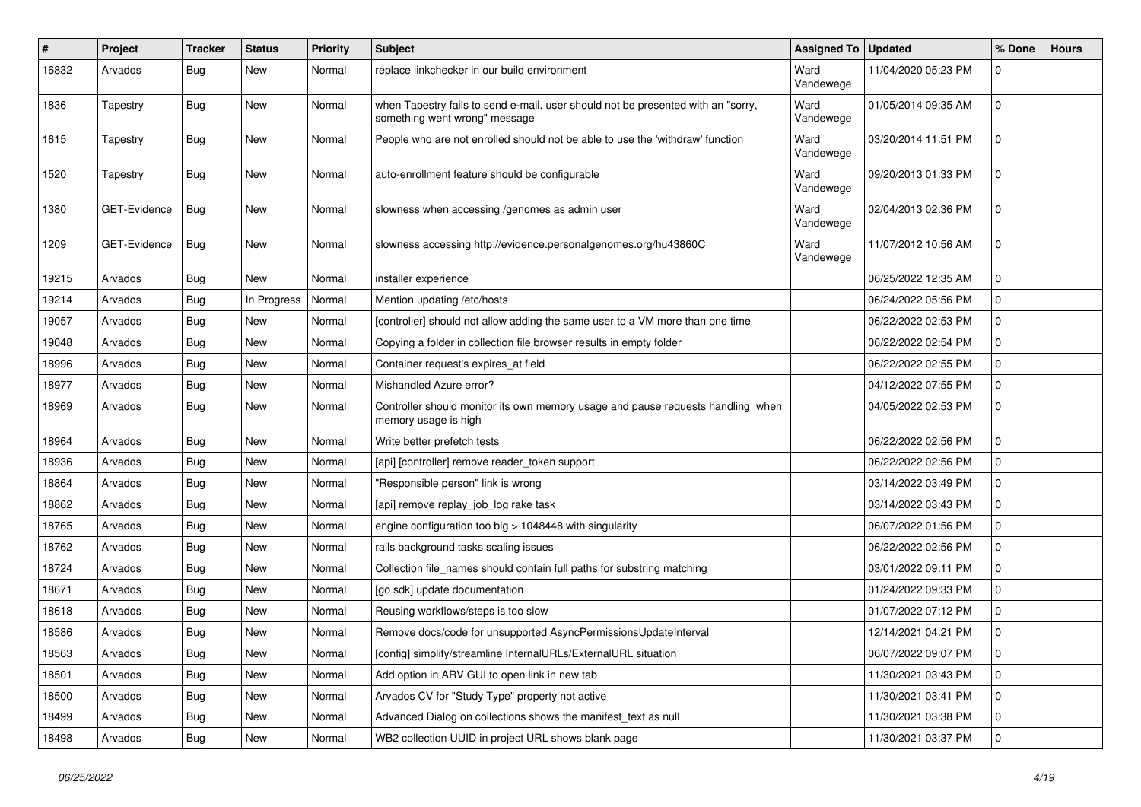| $\sharp$ | Project      | Tracker    | <b>Status</b> | <b>Priority</b> | <b>Subject</b>                                                                                                    | Assigned To   Updated |                     | % Done       | <b>Hours</b> |
|----------|--------------|------------|---------------|-----------------|-------------------------------------------------------------------------------------------------------------------|-----------------------|---------------------|--------------|--------------|
| 16832    | Arvados      | <b>Bug</b> | New           | Normal          | replace linkchecker in our build environment                                                                      | Ward<br>Vandewege     | 11/04/2020 05:23 PM | 0            |              |
| 1836     | Tapestry     | Bug        | New           | Normal          | when Tapestry fails to send e-mail, user should not be presented with an "sorry,<br>something went wrong" message | Ward<br>Vandewege     | 01/05/2014 09:35 AM | $\mathbf 0$  |              |
| 1615     | Tapestry     | Bug        | New           | Normal          | People who are not enrolled should not be able to use the 'withdraw' function                                     | Ward<br>Vandewege     | 03/20/2014 11:51 PM | $\mathbf 0$  |              |
| 1520     | Tapestry     | Bug        | New           | Normal          | auto-enrollment feature should be configurable                                                                    | Ward<br>Vandewege     | 09/20/2013 01:33 PM | $\mathbf 0$  |              |
| 1380     | GET-Evidence | <b>Bug</b> | New           | Normal          | slowness when accessing /genomes as admin user                                                                    | Ward<br>Vandewege     | 02/04/2013 02:36 PM | $\Omega$     |              |
| 1209     | GET-Evidence | Bug        | New           | Normal          | slowness accessing http://evidence.personalgenomes.org/hu43860C                                                   | Ward<br>Vandewege     | 11/07/2012 10:56 AM | $\mathbf 0$  |              |
| 19215    | Arvados      | Bug        | New           | Normal          | installer experience                                                                                              |                       | 06/25/2022 12:35 AM | $\mathbf 0$  |              |
| 19214    | Arvados      | <b>Bug</b> | In Progress   | Normal          | Mention updating /etc/hosts                                                                                       |                       | 06/24/2022 05:56 PM | $\mathbf 0$  |              |
| 19057    | Arvados      | <b>Bug</b> | New           | Normal          | [controller] should not allow adding the same user to a VM more than one time                                     |                       | 06/22/2022 02:53 PM | $\mathbf 0$  |              |
| 19048    | Arvados      | Bug        | New           | Normal          | Copying a folder in collection file browser results in empty folder                                               |                       | 06/22/2022 02:54 PM | $\mathbf 0$  |              |
| 18996    | Arvados      | <b>Bug</b> | New           | Normal          | Container request's expires at field                                                                              |                       | 06/22/2022 02:55 PM | $\Omega$     |              |
| 18977    | Arvados      | Bug        | <b>New</b>    | Normal          | Mishandled Azure error?                                                                                           |                       | 04/12/2022 07:55 PM | $\mathbf 0$  |              |
| 18969    | Arvados      | <b>Bug</b> | New           | Normal          | Controller should monitor its own memory usage and pause requests handling when<br>memory usage is high           |                       | 04/05/2022 02:53 PM | $\mathbf 0$  |              |
| 18964    | Arvados      | Bug        | <b>New</b>    | Normal          | Write better prefetch tests                                                                                       |                       | 06/22/2022 02:56 PM | $\mathbf 0$  |              |
| 18936    | Arvados      | <b>Bug</b> | New           | Normal          | [api] [controller] remove reader token support                                                                    |                       | 06/22/2022 02:56 PM | $\mathbf 0$  |              |
| 18864    | Arvados      | <b>Bug</b> | <b>New</b>    | Normal          | "Responsible person" link is wrong                                                                                |                       | 03/14/2022 03:49 PM | $\mathbf 0$  |              |
| 18862    | Arvados      | <b>Bug</b> | New           | Normal          | [api] remove replay_job_log rake task                                                                             |                       | 03/14/2022 03:43 PM | $\mathbf 0$  |              |
| 18765    | Arvados      | <b>Bug</b> | New           | Normal          | engine configuration too big > 1048448 with singularity                                                           |                       | 06/07/2022 01:56 PM | $\mathbf 0$  |              |
| 18762    | Arvados      | <b>Bug</b> | <b>New</b>    | Normal          | rails background tasks scaling issues                                                                             |                       | 06/22/2022 02:56 PM | $\mathbf 0$  |              |
| 18724    | Arvados      | <b>Bug</b> | New           | Normal          | Collection file names should contain full paths for substring matching                                            |                       | 03/01/2022 09:11 PM | $\mathbf 0$  |              |
| 18671    | Arvados      | <b>Bug</b> | New           | Normal          | [go sdk] update documentation                                                                                     |                       | 01/24/2022 09:33 PM | $\mathbf 0$  |              |
| 18618    | Arvados      | <b>Bug</b> | New           | Normal          | Reusing workflows/steps is too slow                                                                               |                       | 01/07/2022 07:12 PM | 0            |              |
| 18586    | Arvados      | <b>Bug</b> | New           | Normal          | Remove docs/code for unsupported AsyncPermissionsUpdateInterval                                                   |                       | 12/14/2021 04:21 PM | $\mathbf{0}$ |              |
| 18563    | Arvados      | <b>Bug</b> | New           | Normal          | [config] simplify/streamline InternalURLs/ExternalURL situation                                                   |                       | 06/07/2022 09:07 PM | l 0          |              |
| 18501    | Arvados      | <b>Bug</b> | New           | Normal          | Add option in ARV GUI to open link in new tab                                                                     |                       | 11/30/2021 03:43 PM | $\mathbf 0$  |              |
| 18500    | Arvados      | <b>Bug</b> | New           | Normal          | Arvados CV for "Study Type" property not active                                                                   |                       | 11/30/2021 03:41 PM | $\mathbf 0$  |              |
| 18499    | Arvados      | <b>Bug</b> | New           | Normal          | Advanced Dialog on collections shows the manifest_text as null                                                    |                       | 11/30/2021 03:38 PM | $\mathbf 0$  |              |
| 18498    | Arvados      | <b>Bug</b> | New           | Normal          | WB2 collection UUID in project URL shows blank page                                                               |                       | 11/30/2021 03:37 PM | 0            |              |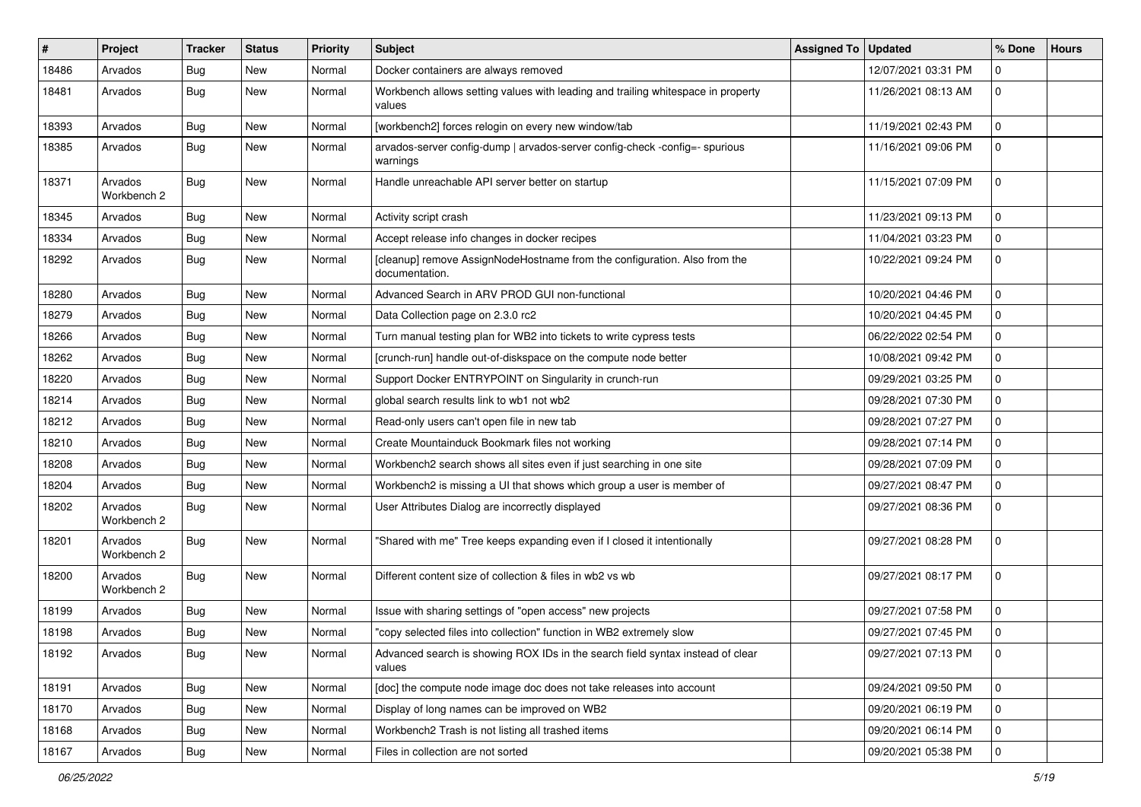| ∦     | Project                | Tracker    | <b>Status</b> | <b>Priority</b> | <b>Subject</b>                                                                              | <b>Assigned To</b> | <b>Updated</b>      | % Done         | <b>Hours</b> |
|-------|------------------------|------------|---------------|-----------------|---------------------------------------------------------------------------------------------|--------------------|---------------------|----------------|--------------|
| 18486 | Arvados                | <b>Bug</b> | <b>New</b>    | Normal          | Docker containers are always removed                                                        |                    | 12/07/2021 03:31 PM | $\Omega$       |              |
| 18481 | Arvados                | <b>Bug</b> | <b>New</b>    | Normal          | Workbench allows setting values with leading and trailing whitespace in property<br>values  |                    | 11/26/2021 08:13 AM | $\mathbf 0$    |              |
| 18393 | Arvados                | Bug        | <b>New</b>    | Normal          | [workbench2] forces relogin on every new window/tab                                         |                    | 11/19/2021 02:43 PM | $\mathbf 0$    |              |
| 18385 | Arvados                | Bug        | <b>New</b>    | Normal          | arvados-server config-dump   arvados-server config-check -config=- spurious<br>warnings     |                    | 11/16/2021 09:06 PM | $\overline{0}$ |              |
| 18371 | Arvados<br>Workbench 2 | Bug        | <b>New</b>    | Normal          | Handle unreachable API server better on startup                                             |                    | 11/15/2021 07:09 PM | $\mathbf 0$    |              |
| 18345 | Arvados                | Bug        | New           | Normal          | Activity script crash                                                                       |                    | 11/23/2021 09:13 PM | $\mathbf 0$    |              |
| 18334 | Arvados                | <b>Bug</b> | <b>New</b>    | Normal          | Accept release info changes in docker recipes                                               |                    | 11/04/2021 03:23 PM | $\mathbf 0$    |              |
| 18292 | Arvados                | Bug        | New           | Normal          | [cleanup] remove AssignNodeHostname from the configuration. Also from the<br>documentation. |                    | 10/22/2021 09:24 PM | $\mathbf 0$    |              |
| 18280 | Arvados                | Bug        | <b>New</b>    | Normal          | Advanced Search in ARV PROD GUI non-functional                                              |                    | 10/20/2021 04:46 PM | $\mathbf 0$    |              |
| 18279 | Arvados                | <b>Bug</b> | <b>New</b>    | Normal          | Data Collection page on 2.3.0 rc2                                                           |                    | 10/20/2021 04:45 PM | $\mathbf 0$    |              |
| 18266 | Arvados                | Bug        | <b>New</b>    | Normal          | Turn manual testing plan for WB2 into tickets to write cypress tests                        |                    | 06/22/2022 02:54 PM | $\mathbf 0$    |              |
| 18262 | Arvados                | <b>Bug</b> | <b>New</b>    | Normal          | [crunch-run] handle out-of-diskspace on the compute node better                             |                    | 10/08/2021 09:42 PM | $\mathbf 0$    |              |
| 18220 | Arvados                | <b>Bug</b> | <b>New</b>    | Normal          | Support Docker ENTRYPOINT on Singularity in crunch-run                                      |                    | 09/29/2021 03:25 PM | $\Omega$       |              |
| 18214 | Arvados                | <b>Bug</b> | <b>New</b>    | Normal          | global search results link to wb1 not wb2                                                   |                    | 09/28/2021 07:30 PM | $\mathbf 0$    |              |
| 18212 | Arvados                | Bug        | New           | Normal          | Read-only users can't open file in new tab                                                  |                    | 09/28/2021 07:27 PM | $\mathbf 0$    |              |
| 18210 | Arvados                | Bug        | <b>New</b>    | Normal          | Create Mountainduck Bookmark files not working                                              |                    | 09/28/2021 07:14 PM | $\mathbf 0$    |              |
| 18208 | Arvados                | Bug        | <b>New</b>    | Normal          | Workbench2 search shows all sites even if just searching in one site                        |                    | 09/28/2021 07:09 PM | $\mathbf 0$    |              |
| 18204 | Arvados                | Bug        | New           | Normal          | Workbench2 is missing a UI that shows which group a user is member of                       |                    | 09/27/2021 08:47 PM | $\Omega$       |              |
| 18202 | Arvados<br>Workbench 2 | Bug        | <b>New</b>    | Normal          | User Attributes Dialog are incorrectly displayed                                            |                    | 09/27/2021 08:36 PM | $\mathbf 0$    |              |
| 18201 | Arvados<br>Workbench 2 | Bug        | <b>New</b>    | Normal          | "Shared with me" Tree keeps expanding even if I closed it intentionally                     |                    | 09/27/2021 08:28 PM | $\mathbf 0$    |              |
| 18200 | Arvados<br>Workbench 2 | Bug        | New           | Normal          | Different content size of collection & files in wb2 vs wb                                   |                    | 09/27/2021 08:17 PM | $\mathbf 0$    |              |
| 18199 | Arvados                | Bug        | <b>New</b>    | Normal          | Issue with sharing settings of "open access" new projects                                   |                    | 09/27/2021 07:58 PM | $\mathbf 0$    |              |
| 18198 | Arvados                | <b>Bug</b> | New           | Normal          | "copy selected files into collection" function in WB2 extremely slow                        |                    | 09/27/2021 07:45 PM | $\mathbf 0$    |              |
| 18192 | Arvados                | <b>Bug</b> | New           | Normal          | Advanced search is showing ROX IDs in the search field syntax instead of clear<br>values    |                    | 09/27/2021 07:13 PM | l 0            |              |
| 18191 | Arvados                | Bug        | New           | Normal          | [doc] the compute node image doc does not take releases into account                        |                    | 09/24/2021 09:50 PM | 0              |              |
| 18170 | Arvados                | Bug        | New           | Normal          | Display of long names can be improved on WB2                                                |                    | 09/20/2021 06:19 PM | 0              |              |
| 18168 | Arvados                | <b>Bug</b> | New           | Normal          | Workbench2 Trash is not listing all trashed items                                           |                    | 09/20/2021 06:14 PM | 0              |              |
| 18167 | Arvados                | <b>Bug</b> | New           | Normal          | Files in collection are not sorted                                                          |                    | 09/20/2021 05:38 PM | 0              |              |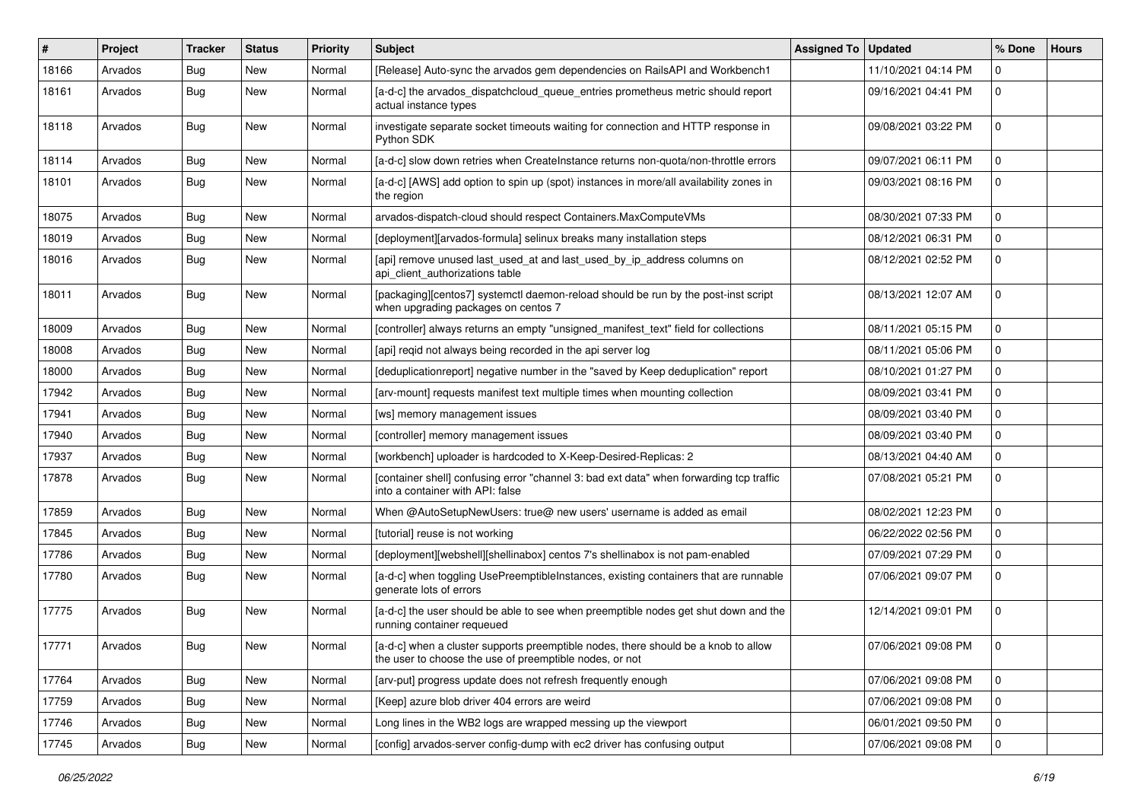| ∦     | Project | Tracker    | <b>Status</b> | <b>Priority</b> | <b>Subject</b>                                                                                                                                | Assigned To | <b>Updated</b>      | % Done         | <b>Hours</b> |
|-------|---------|------------|---------------|-----------------|-----------------------------------------------------------------------------------------------------------------------------------------------|-------------|---------------------|----------------|--------------|
| 18166 | Arvados | <b>Bug</b> | <b>New</b>    | Normal          | [Release] Auto-sync the arvados gem dependencies on RailsAPI and Workbench1                                                                   |             | 11/10/2021 04:14 PM | $\Omega$       |              |
| 18161 | Arvados | Bug        | <b>New</b>    | Normal          | [a-d-c] the arvados_dispatchcloud_queue_entries prometheus metric should report<br>actual instance types                                      |             | 09/16/2021 04:41 PM | $\mathbf 0$    |              |
| 18118 | Arvados | Bug        | New           | Normal          | investigate separate socket timeouts waiting for connection and HTTP response in<br>Python SDK                                                |             | 09/08/2021 03:22 PM | $\mathbf 0$    |              |
| 18114 | Arvados | <b>Bug</b> | <b>New</b>    | Normal          | [a-d-c] slow down retries when CreateInstance returns non-quota/non-throttle errors                                                           |             | 09/07/2021 06:11 PM | $\mathbf 0$    |              |
| 18101 | Arvados | Bug        | <b>New</b>    | Normal          | [a-d-c] [AWS] add option to spin up (spot) instances in more/all availability zones in<br>the region                                          |             | 09/03/2021 08:16 PM | $\mathbf 0$    |              |
| 18075 | Arvados | Bug        | New           | Normal          | arvados-dispatch-cloud should respect Containers.MaxComputeVMs                                                                                |             | 08/30/2021 07:33 PM | $\Omega$       |              |
| 18019 | Arvados | <b>Bug</b> | <b>New</b>    | Normal          | [deployment][arvados-formula] selinux breaks many installation steps                                                                          |             | 08/12/2021 06:31 PM | $\mathbf 0$    |              |
| 18016 | Arvados | Bug        | New           | Normal          | [api] remove unused last_used_at and last_used_by_ip_address columns on<br>api_client_authorizations table                                    |             | 08/12/2021 02:52 PM | $\mathbf 0$    |              |
| 18011 | Arvados | <b>Bug</b> | New           | Normal          | [packaging][centos7] systemctl daemon-reload should be run by the post-inst script<br>when upgrading packages on centos 7                     |             | 08/13/2021 12:07 AM | $\overline{0}$ |              |
| 18009 | Arvados | Bug        | <b>New</b>    | Normal          | [controller] always returns an empty "unsigned_manifest_text" field for collections                                                           |             | 08/11/2021 05:15 PM | $\mathbf 0$    |              |
| 18008 | Arvados | <b>Bug</b> | <b>New</b>    | Normal          | [api] regid not always being recorded in the api server log                                                                                   |             | 08/11/2021 05:06 PM | $\mathbf 0$    |              |
| 18000 | Arvados | Bug        | New           | Normal          | [deduplicationreport] negative number in the "saved by Keep deduplication" report                                                             |             | 08/10/2021 01:27 PM | $\Omega$       |              |
| 17942 | Arvados | Bug        | <b>New</b>    | Normal          | [arv-mount] requests manifest text multiple times when mounting collection                                                                    |             | 08/09/2021 03:41 PM | $\mathbf 0$    |              |
| 17941 | Arvados | <b>Bug</b> | New           | Normal          | [ws] memory management issues                                                                                                                 |             | 08/09/2021 03:40 PM | 0              |              |
| 17940 | Arvados | Bug        | <b>New</b>    | Normal          | [controller] memory management issues                                                                                                         |             | 08/09/2021 03:40 PM | $\mathbf 0$    |              |
| 17937 | Arvados | Bug        | <b>New</b>    | Normal          | [workbench] uploader is hardcoded to X-Keep-Desired-Replicas: 2                                                                               |             | 08/13/2021 04:40 AM | $\mathbf 0$    |              |
| 17878 | Arvados | <b>Bug</b> | New           | Normal          | [container shell] confusing error "channel 3: bad ext data" when forwarding tcp traffic<br>into a container with API: false                   |             | 07/08/2021 05:21 PM | $\mathbf 0$    |              |
| 17859 | Arvados | Bug        | New           | Normal          | When @AutoSetupNewUsers: true@ new users' username is added as email                                                                          |             | 08/02/2021 12:23 PM | $\mathbf 0$    |              |
| 17845 | Arvados | Bug        | <b>New</b>    | Normal          | [tutorial] reuse is not working                                                                                                               |             | 06/22/2022 02:56 PM | $\Omega$       |              |
| 17786 | Arvados | Bug        | <b>New</b>    | Normal          | [deployment][webshell][shellinabox] centos 7's shellinabox is not pam-enabled                                                                 |             | 07/09/2021 07:29 PM | $\mathbf 0$    |              |
| 17780 | Arvados | Bug        | New           | Normal          | [a-d-c] when toggling UsePreemptibleInstances, existing containers that are runnable<br>generate lots of errors                               |             | 07/06/2021 09:07 PM | $\mathbf 0$    |              |
| 17775 | Arvados | Bug        | New           | Normal          | [a-d-c] the user should be able to see when preemptible nodes get shut down and the<br>running container requeued                             |             | 12/14/2021 09:01 PM | $\mathbf 0$    |              |
| 17771 | Arvados | <b>Bug</b> | New           | Normal          | [a-d-c] when a cluster supports preemptible nodes, there should be a knob to allow<br>the user to choose the use of preemptible nodes, or not |             | 07/06/2021 09:08 PM |                |              |
| 17764 | Arvados | Bug        | New           | Normal          | [arv-put] progress update does not refresh frequently enough                                                                                  |             | 07/06/2021 09:08 PM | $\mathbf 0$    |              |
| 17759 | Arvados | Bug        | New           | Normal          | [Keep] azure blob driver 404 errors are weird                                                                                                 |             | 07/06/2021 09:08 PM | 0              |              |
| 17746 | Arvados | <b>Bug</b> | New           | Normal          | Long lines in the WB2 logs are wrapped messing up the viewport                                                                                |             | 06/01/2021 09:50 PM | 0              |              |
| 17745 | Arvados | <b>Bug</b> | New           | Normal          | [config] arvados-server config-dump with ec2 driver has confusing output                                                                      |             | 07/06/2021 09:08 PM | $\overline{0}$ |              |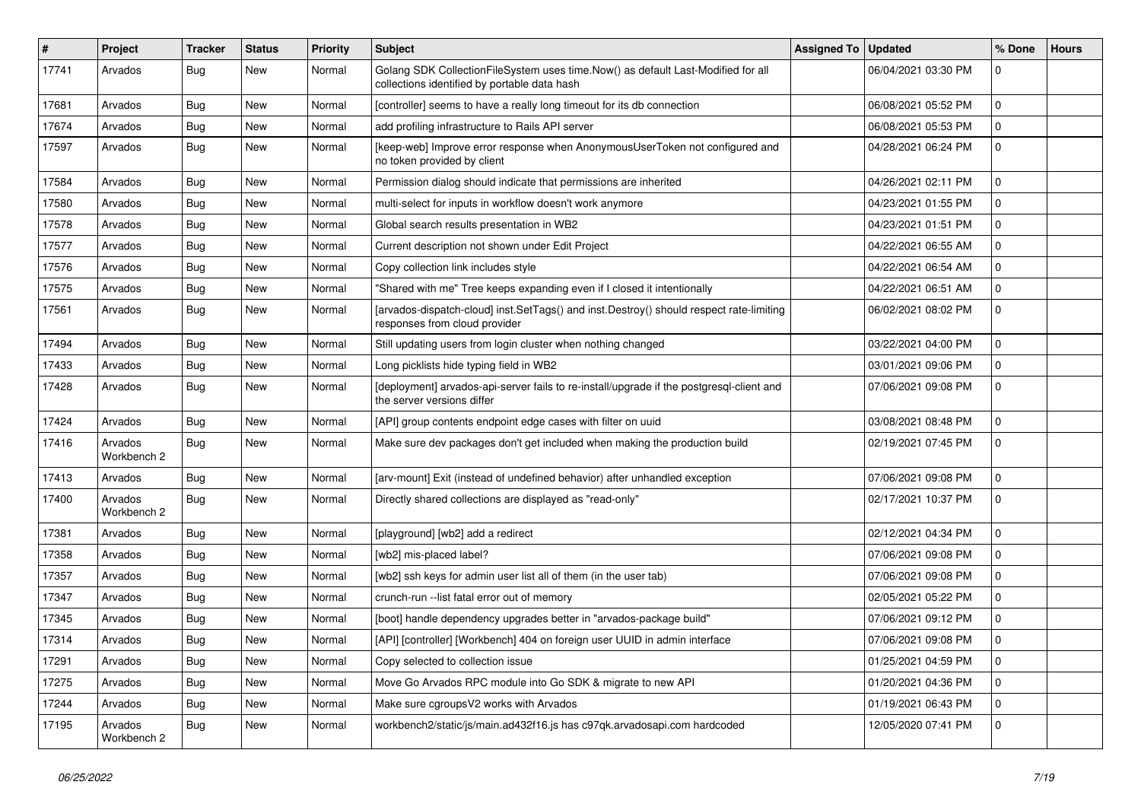| $\#$  | Project                | <b>Tracker</b> | <b>Status</b> | <b>Priority</b> | <b>Subject</b>                                                                                                                   | <b>Assigned To</b> | <b>Updated</b>      | % Done              | <b>Hours</b> |
|-------|------------------------|----------------|---------------|-----------------|----------------------------------------------------------------------------------------------------------------------------------|--------------------|---------------------|---------------------|--------------|
| 17741 | Arvados                | Bug            | New           | Normal          | Golang SDK CollectionFileSystem uses time.Now() as default Last-Modified for all<br>collections identified by portable data hash |                    | 06/04/2021 03:30 PM | $\mathbf{0}$        |              |
| 17681 | Arvados                | Bug            | New           | Normal          | [controller] seems to have a really long timeout for its db connection                                                           |                    | 06/08/2021 05:52 PM | $\Omega$            |              |
| 17674 | Arvados                | Bug            | New           | Normal          | add profiling infrastructure to Rails API server                                                                                 |                    | 06/08/2021 05:53 PM | $\mathbf 0$         |              |
| 17597 | Arvados                | Bug            | New           | Normal          | [keep-web] Improve error response when AnonymousUserToken not configured and<br>no token provided by client                      |                    | 04/28/2021 06:24 PM | $\mathbf 0$         |              |
| 17584 | Arvados                | <b>Bug</b>     | <b>New</b>    | Normal          | Permission dialog should indicate that permissions are inherited                                                                 |                    | 04/26/2021 02:11 PM | $\Omega$            |              |
| 17580 | Arvados                | <b>Bug</b>     | <b>New</b>    | Normal          | multi-select for inputs in workflow doesn't work anymore                                                                         |                    | 04/23/2021 01:55 PM | $\Omega$            |              |
| 17578 | Arvados                | <b>Bug</b>     | <b>New</b>    | Normal          | Global search results presentation in WB2                                                                                        |                    | 04/23/2021 01:51 PM | $\mathbf 0$         |              |
| 17577 | Arvados                | Bug            | <b>New</b>    | Normal          | Current description not shown under Edit Project                                                                                 |                    | 04/22/2021 06:55 AM | $\Omega$            |              |
| 17576 | Arvados                | <b>Bug</b>     | <b>New</b>    | Normal          | Copy collection link includes style                                                                                              |                    | 04/22/2021 06:54 AM | $\mathbf 0$         |              |
| 17575 | Arvados                | Bug            | New           | Normal          | "Shared with me" Tree keeps expanding even if I closed it intentionally                                                          |                    | 04/22/2021 06:51 AM | $\mathbf 0$         |              |
| 17561 | Arvados                | Bug            | New           | Normal          | [arvados-dispatch-cloud] inst.SetTags() and inst.Destroy() should respect rate-limiting<br>responses from cloud provider         |                    | 06/02/2021 08:02 PM | $\mathbf 0$         |              |
| 17494 | Arvados                | Bug            | New           | Normal          | Still updating users from login cluster when nothing changed                                                                     |                    | 03/22/2021 04:00 PM | $\mathbf 0$         |              |
| 17433 | Arvados                | <b>Bug</b>     | <b>New</b>    | Normal          | Long picklists hide typing field in WB2                                                                                          |                    | 03/01/2021 09:06 PM | $\mathsf{O}\xspace$ |              |
| 17428 | Arvados                | <b>Bug</b>     | New           | Normal          | [deployment] arvados-api-server fails to re-install/upgrade if the postgresql-client and<br>the server versions differ           |                    | 07/06/2021 09:08 PM | $\Omega$            |              |
| 17424 | Arvados                | Bug            | <b>New</b>    | Normal          | [API] group contents endpoint edge cases with filter on uuid                                                                     |                    | 03/08/2021 08:48 PM | $\mathbf 0$         |              |
| 17416 | Arvados<br>Workbench 2 | <b>Bug</b>     | <b>New</b>    | Normal          | Make sure dev packages don't get included when making the production build                                                       |                    | 02/19/2021 07:45 PM | $\Omega$            |              |
| 17413 | Arvados                | Bug            | New           | Normal          | [arv-mount] Exit (instead of undefined behavior) after unhandled exception                                                       |                    | 07/06/2021 09:08 PM | $\mathbf 0$         |              |
| 17400 | Arvados<br>Workbench 2 | Bug            | New           | Normal          | Directly shared collections are displayed as "read-only"                                                                         |                    | 02/17/2021 10:37 PM | $\mathbf 0$         |              |
| 17381 | Arvados                | <b>Bug</b>     | <b>New</b>    | Normal          | [playground] [wb2] add a redirect                                                                                                |                    | 02/12/2021 04:34 PM | $\Omega$            |              |
| 17358 | Arvados                | <b>Bug</b>     | <b>New</b>    | Normal          | [wb2] mis-placed label?                                                                                                          |                    | 07/06/2021 09:08 PM | $\mathbf 0$         |              |
| 17357 | Arvados                | Bug            | <b>New</b>    | Normal          | [wb2] ssh keys for admin user list all of them (in the user tab)                                                                 |                    | 07/06/2021 09:08 PM | $\Omega$            |              |
| 17347 | Arvados                | Bug            | New           | Normal          | crunch-run -- list fatal error out of memory                                                                                     |                    | 02/05/2021 05:22 PM | $\Omega$            |              |
| 17345 | Arvados                | <b>Bug</b>     | <b>New</b>    | Normal          | [boot] handle dependency upgrades better in "arvados-package build"                                                              |                    | 07/06/2021 09:12 PM | $\mathbf 0$         |              |
| 17314 | Arvados                | Bug            | <b>New</b>    | Normal          | [API] [controller] [Workbench] 404 on foreign user UUID in admin interface                                                       |                    | 07/06/2021 09:08 PM | $\mathbf{0}$        |              |
| 17291 | Arvados                | Bug            | <b>New</b>    | Normal          | Copy selected to collection issue                                                                                                |                    | 01/25/2021 04:59 PM | $\mathbf{0}$        |              |
| 17275 | Arvados                | Bug            | New           | Normal          | Move Go Arvados RPC module into Go SDK & migrate to new API                                                                      |                    | 01/20/2021 04:36 PM | $\Omega$            |              |
| 17244 | Arvados                | Bug            | <b>New</b>    | Normal          | Make sure cgroupsV2 works with Arvados                                                                                           |                    | 01/19/2021 06:43 PM | $\mathbf 0$         |              |
| 17195 | Arvados<br>Workbench 2 | Bug            | <b>New</b>    | Normal          | workbench2/static/js/main.ad432f16.js has c97qk.arvadosapi.com hardcoded                                                         |                    | 12/05/2020 07:41 PM | $\mathbf 0$         |              |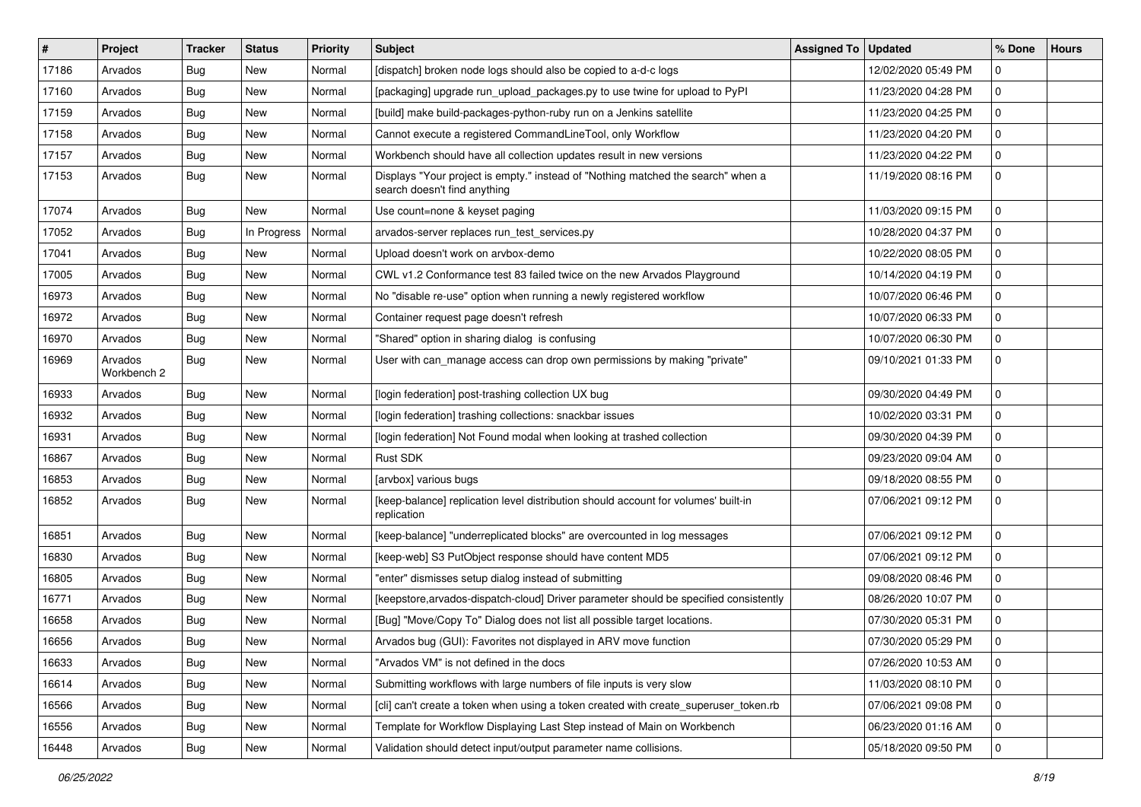| #     | Project                | <b>Tracker</b> | <b>Status</b> | <b>Priority</b> | <b>Subject</b>                                                                                                   | <b>Assigned To</b> | <b>Updated</b>      | % Done         | <b>Hours</b> |
|-------|------------------------|----------------|---------------|-----------------|------------------------------------------------------------------------------------------------------------------|--------------------|---------------------|----------------|--------------|
| 17186 | Arvados                | <b>Bug</b>     | New           | Normal          | [dispatch] broken node logs should also be copied to a-d-c logs                                                  |                    | 12/02/2020 05:49 PM | $\mathbf 0$    |              |
| 17160 | Arvados                | <b>Bug</b>     | <b>New</b>    | Normal          | [packaging] upgrade run_upload_packages.py to use twine for upload to PyPI                                       |                    | 11/23/2020 04:28 PM | 0              |              |
| 17159 | Arvados                | <b>Bug</b>     | New           | Normal          | [build] make build-packages-python-ruby run on a Jenkins satellite                                               |                    | 11/23/2020 04:25 PM | $\mathbf 0$    |              |
| 17158 | Arvados                | Bug            | New           | Normal          | Cannot execute a registered CommandLineTool, only Workflow                                                       |                    | 11/23/2020 04:20 PM | 0              |              |
| 17157 | Arvados                | <b>Bug</b>     | <b>New</b>    | Normal          | Workbench should have all collection updates result in new versions                                              |                    | 11/23/2020 04:22 PM | 0              |              |
| 17153 | Arvados                | <b>Bug</b>     | New           | Normal          | Displays "Your project is empty." instead of "Nothing matched the search" when a<br>search doesn't find anything |                    | 11/19/2020 08:16 PM | $\mathbf 0$    |              |
| 17074 | Arvados                | Bug            | New           | Normal          | Use count=none & keyset paging                                                                                   |                    | 11/03/2020 09:15 PM | 0              |              |
| 17052 | Arvados                | <b>Bug</b>     | In Progress   | Normal          | arvados-server replaces run_test_services.py                                                                     |                    | 10/28/2020 04:37 PM | 0              |              |
| 17041 | Arvados                | Bug            | <b>New</b>    | Normal          | Upload doesn't work on arvbox-demo                                                                               |                    | 10/22/2020 08:05 PM | 0              |              |
| 17005 | Arvados                | <b>Bug</b>     | New           | Normal          | CWL v1.2 Conformance test 83 failed twice on the new Arvados Playground                                          |                    | 10/14/2020 04:19 PM | 0              |              |
| 16973 | Arvados                | Bug            | <b>New</b>    | Normal          | No "disable re-use" option when running a newly registered workflow                                              |                    | 10/07/2020 06:46 PM | $\mathbf 0$    |              |
| 16972 | Arvados                | <b>Bug</b>     | New           | Normal          | Container request page doesn't refresh                                                                           |                    | 10/07/2020 06:33 PM | 0              |              |
| 16970 | Arvados                | <b>Bug</b>     | New           | Normal          | "Shared" option in sharing dialog is confusing                                                                   |                    | 10/07/2020 06:30 PM | $\mathbf 0$    |              |
| 16969 | Arvados<br>Workbench 2 | <b>Bug</b>     | New           | Normal          | User with can_manage access can drop own permissions by making "private"                                         |                    | 09/10/2021 01:33 PM | $\mathbf 0$    |              |
| 16933 | Arvados                | Bug            | New           | Normal          | [login federation] post-trashing collection UX bug                                                               |                    | 09/30/2020 04:49 PM | $\mathbf 0$    |              |
| 16932 | Arvados                | <b>Bug</b>     | <b>New</b>    | Normal          | [login federation] trashing collections: snackbar issues                                                         |                    | 10/02/2020 03:31 PM | 0              |              |
| 16931 | Arvados                | <b>Bug</b>     | New           | Normal          | [login federation] Not Found modal when looking at trashed collection                                            |                    | 09/30/2020 04:39 PM | 0              |              |
| 16867 | Arvados                | <b>Bug</b>     | <b>New</b>    | Normal          | Rust SDK                                                                                                         |                    | 09/23/2020 09:04 AM | $\mathbf 0$    |              |
| 16853 | Arvados                | Bug            | New           | Normal          | [arvbox] various bugs                                                                                            |                    | 09/18/2020 08:55 PM | 0              |              |
| 16852 | Arvados                | <b>Bug</b>     | New           | Normal          | [keep-balance] replication level distribution should account for volumes' built-in<br>replication                |                    | 07/06/2021 09:12 PM | $\mathbf 0$    |              |
| 16851 | Arvados                | <b>Bug</b>     | New           | Normal          | [keep-balance] "underreplicated blocks" are overcounted in log messages                                          |                    | 07/06/2021 09:12 PM | $\mathbf 0$    |              |
| 16830 | Arvados                | <b>Bug</b>     | <b>New</b>    | Normal          | [keep-web] S3 PutObject response should have content MD5                                                         |                    | 07/06/2021 09:12 PM | $\mathbf 0$    |              |
| 16805 | Arvados                | <b>Bug</b>     | <b>New</b>    | Normal          | "enter" dismisses setup dialog instead of submitting                                                             |                    | 09/08/2020 08:46 PM | 0              |              |
| 16771 | Arvados                | <b>Bug</b>     | New           | Normal          | [keepstore, arvados-dispatch-cloud] Driver parameter should be specified consistently                            |                    | 08/26/2020 10:07 PM | 0              |              |
| 16658 | Arvados                | <b>Bug</b>     | <b>New</b>    | Normal          | [Bug] "Move/Copy To" Dialog does not list all possible target locations.                                         |                    | 07/30/2020 05:31 PM | $\mathbf 0$    |              |
| 16656 | Arvados                | Bug            | New           | Normal          | Arvados bug (GUI): Favorites not displayed in ARV move function                                                  |                    | 07/30/2020 05:29 PM | 0              |              |
| 16633 | Arvados                | <b>Bug</b>     | New           | Normal          | "Arvados VM" is not defined in the docs                                                                          |                    | 07/26/2020 10:53 AM | 0              |              |
| 16614 | Arvados                | <b>Bug</b>     | New           | Normal          | Submitting workflows with large numbers of file inputs is very slow                                              |                    | 11/03/2020 08:10 PM | 0              |              |
| 16566 | Arvados                | <b>Bug</b>     | New           | Normal          | [cli] can't create a token when using a token created with create superuser token.rb                             |                    | 07/06/2021 09:08 PM | 0              |              |
| 16556 | Arvados                | Bug            | New           | Normal          | Template for Workflow Displaying Last Step instead of Main on Workbench                                          |                    | 06/23/2020 01:16 AM | 0              |              |
| 16448 | Arvados                | <b>Bug</b>     | New           | Normal          | Validation should detect input/output parameter name collisions.                                                 |                    | 05/18/2020 09:50 PM | $\overline{0}$ |              |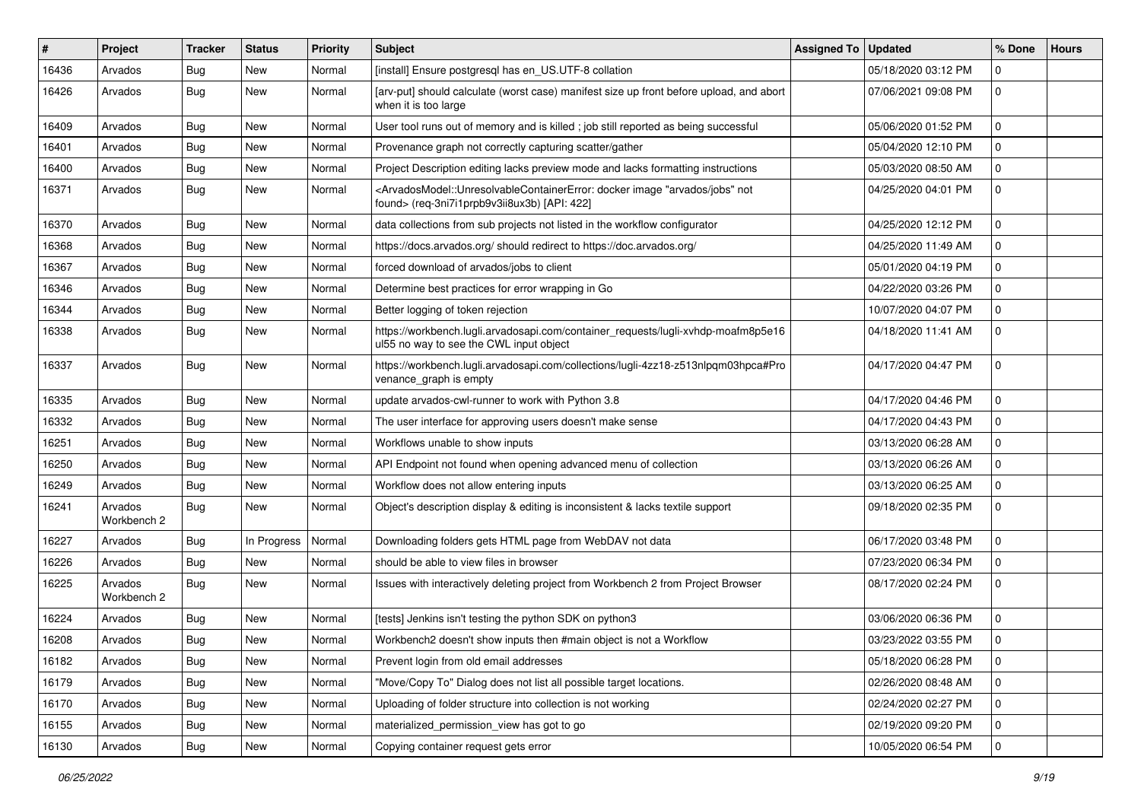| $\#$  | Project                | <b>Tracker</b> | <b>Status</b> | <b>Priority</b> | <b>Subject</b>                                                                                                                                                                           | <b>Assigned To</b> | <b>Updated</b>      | % Done       | <b>Hours</b> |
|-------|------------------------|----------------|---------------|-----------------|------------------------------------------------------------------------------------------------------------------------------------------------------------------------------------------|--------------------|---------------------|--------------|--------------|
| 16436 | Arvados                | <b>Bug</b>     | <b>New</b>    | Normal          | [install] Ensure postgresql has en_US.UTF-8 collation                                                                                                                                    |                    | 05/18/2020 03:12 PM | $\mathbf{0}$ |              |
| 16426 | Arvados                | <b>Bug</b>     | New           | Normal          | [arv-put] should calculate (worst case) manifest size up front before upload, and abort<br>when it is too large                                                                          |                    | 07/06/2021 09:08 PM | $\mathbf 0$  |              |
| 16409 | Arvados                | Bug            | New           | Normal          | User tool runs out of memory and is killed; job still reported as being successful                                                                                                       |                    | 05/06/2020 01:52 PM | $\mathbf 0$  |              |
| 16401 | Arvados                | Bug            | <b>New</b>    | Normal          | Provenance graph not correctly capturing scatter/gather                                                                                                                                  |                    | 05/04/2020 12:10 PM | $\mathbf 0$  |              |
| 16400 | Arvados                | <b>Bug</b>     | New           | Normal          | Project Description editing lacks preview mode and lacks formatting instructions                                                                                                         |                    | 05/03/2020 08:50 AM | $\mathbf 0$  |              |
| 16371 | Arvados                | <b>Bug</b>     | <b>New</b>    | Normal          | <arvadosmodel::unresolvablecontainererror: "arvados="" docker="" image="" jobs"="" not<br="">found&gt; (req-3ni7i1prpb9v3ii8ux3b) [API: 422]</arvadosmodel::unresolvablecontainererror:> |                    | 04/25/2020 04:01 PM | $\mathbf 0$  |              |
| 16370 | Arvados                | Bug            | New           | Normal          | data collections from sub projects not listed in the workflow configurator                                                                                                               |                    | 04/25/2020 12:12 PM | $\Omega$     |              |
| 16368 | Arvados                | Bug            | <b>New</b>    | Normal          | https://docs.arvados.org/ should redirect to https://doc.arvados.org/                                                                                                                    |                    | 04/25/2020 11:49 AM | $\mathbf 0$  |              |
| 16367 | Arvados                | <b>Bug</b>     | New           | Normal          | forced download of arvados/jobs to client                                                                                                                                                |                    | 05/01/2020 04:19 PM | $\mathbf 0$  |              |
| 16346 | Arvados                | <b>Bug</b>     | New           | Normal          | Determine best practices for error wrapping in Go                                                                                                                                        |                    | 04/22/2020 03:26 PM | $\mathbf 0$  |              |
| 16344 | Arvados                | <b>Bug</b>     | <b>New</b>    | Normal          | Better logging of token rejection                                                                                                                                                        |                    | 10/07/2020 04:07 PM | $\mathbf 0$  |              |
| 16338 | Arvados                | <b>Bug</b>     | New           | Normal          | https://workbench.lugli.arvadosapi.com/container_requests/lugli-xvhdp-moafm8p5e16<br>ul55 no way to see the CWL input object                                                             |                    | 04/18/2020 11:41 AM | $\mathbf 0$  |              |
| 16337 | Arvados                | Bug            | New           | Normal          | https://workbench.lugli.arvadosapi.com/collections/lugli-4zz18-z513nlpqm03hpca#Pro<br>venance_graph is empty                                                                             |                    | 04/17/2020 04:47 PM | $\mathbf 0$  |              |
| 16335 | Arvados                | Bug            | <b>New</b>    | Normal          | update arvados-cwl-runner to work with Python 3.8                                                                                                                                        |                    | 04/17/2020 04:46 PM | $\mathbf 0$  |              |
| 16332 | Arvados                | <b>Bug</b>     | New           | Normal          | The user interface for approving users doesn't make sense                                                                                                                                |                    | 04/17/2020 04:43 PM | $\mathbf 0$  |              |
| 16251 | Arvados                | Bug            | <b>New</b>    | Normal          | Workflows unable to show inputs                                                                                                                                                          |                    | 03/13/2020 06:28 AM | $\mathbf 0$  |              |
| 16250 | Arvados                | <b>Bug</b>     | New           | Normal          | API Endpoint not found when opening advanced menu of collection                                                                                                                          |                    | 03/13/2020 06:26 AM | $\mathbf 0$  |              |
| 16249 | Arvados                | Bug            | New           | Normal          | Workflow does not allow entering inputs                                                                                                                                                  |                    | 03/13/2020 06:25 AM | $\mathbf 0$  |              |
| 16241 | Arvados<br>Workbench 2 | <b>Bug</b>     | <b>New</b>    | Normal          | Object's description display & editing is inconsistent & lacks textile support                                                                                                           |                    | 09/18/2020 02:35 PM | $\mathbf 0$  |              |
| 16227 | Arvados                | Bug            | In Progress   | Normal          | Downloading folders gets HTML page from WebDAV not data                                                                                                                                  |                    | 06/17/2020 03:48 PM | $\Omega$     |              |
| 16226 | Arvados                | Bug            | New           | Normal          | should be able to view files in browser                                                                                                                                                  |                    | 07/23/2020 06:34 PM | $\mathbf 0$  |              |
| 16225 | Arvados<br>Workbench 2 | <b>Bug</b>     | New           | Normal          | Issues with interactively deleting project from Workbench 2 from Project Browser                                                                                                         |                    | 08/17/2020 02:24 PM | $\mathbf 0$  |              |
| 16224 | Arvados                | Bug            | New           | Normal          | [tests] Jenkins isn't testing the python SDK on python3                                                                                                                                  |                    | 03/06/2020 06:36 PM | $\mathbf 0$  |              |
| 16208 | Arvados                | Bug            | New           | Normal          | Workbench2 doesn't show inputs then #main object is not a Workflow                                                                                                                       |                    | 03/23/2022 03:55 PM | $\mathbf{0}$ |              |
| 16182 | Arvados                | Bug            | New           | Normal          | Prevent login from old email addresses                                                                                                                                                   |                    | 05/18/2020 06:28 PM | 0            |              |
| 16179 | Arvados                | <b>Bug</b>     | New           | Normal          | "Move/Copy To" Dialog does not list all possible target locations.                                                                                                                       |                    | 02/26/2020 08:48 AM | 0            |              |
| 16170 | Arvados                | <b>Bug</b>     | New           | Normal          | Uploading of folder structure into collection is not working                                                                                                                             |                    | 02/24/2020 02:27 PM | $\mathbf 0$  |              |
| 16155 | Arvados                | Bug            | New           | Normal          | materialized_permission_view has got to go                                                                                                                                               |                    | 02/19/2020 09:20 PM | l 0          |              |
| 16130 | Arvados                | Bug            | New           | Normal          | Copying container request gets error                                                                                                                                                     |                    | 10/05/2020 06:54 PM | 0            |              |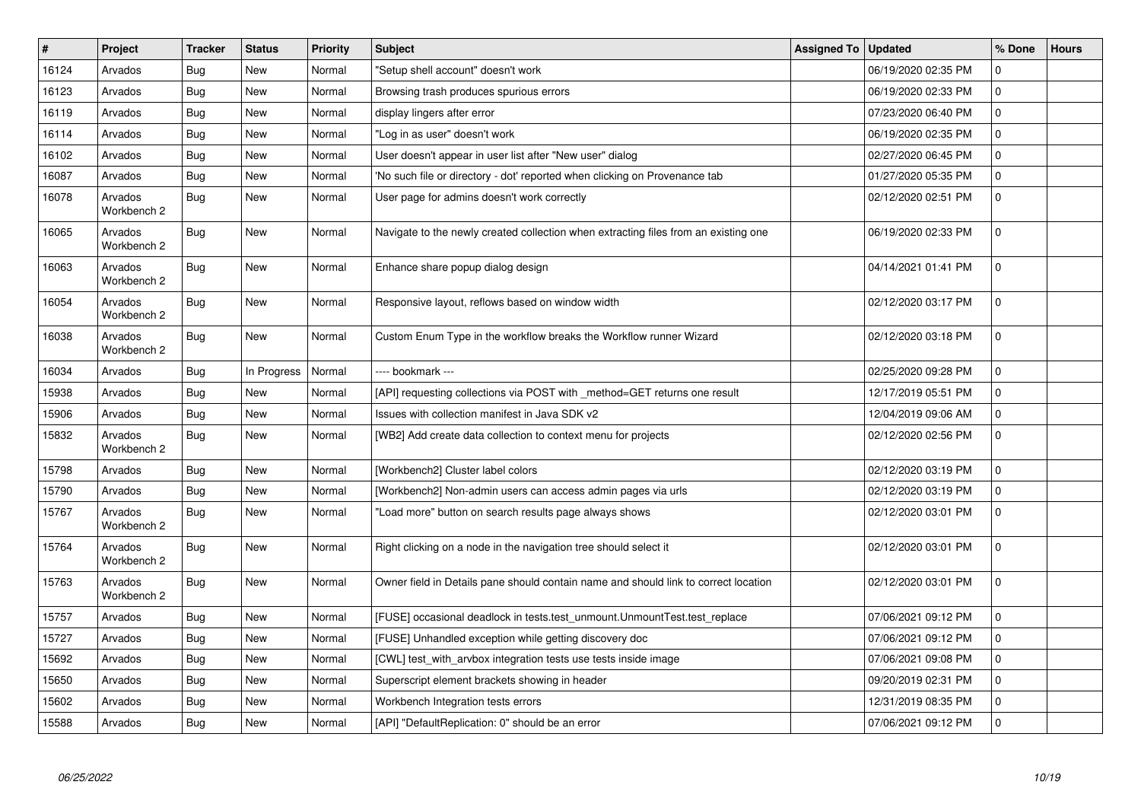| $\sharp$ | Project                | <b>Tracker</b> | <b>Status</b> | Priority | <b>Subject</b>                                                                      | Assigned To | <b>Updated</b>      | % Done       | <b>Hours</b> |
|----------|------------------------|----------------|---------------|----------|-------------------------------------------------------------------------------------|-------------|---------------------|--------------|--------------|
| 16124    | Arvados                | <b>Bug</b>     | <b>New</b>    | Normal   | "Setup shell account" doesn't work                                                  |             | 06/19/2020 02:35 PM | $\Omega$     |              |
| 16123    | Arvados                | Bug            | <b>New</b>    | Normal   | Browsing trash produces spurious errors                                             |             | 06/19/2020 02:33 PM | $\mathbf{0}$ |              |
| 16119    | Arvados                | Bug            | <b>New</b>    | Normal   | display lingers after error                                                         |             | 07/23/2020 06:40 PM | $\mathbf 0$  |              |
| 16114    | Arvados                | <b>Bug</b>     | New           | Normal   | "Log in as user" doesn't work                                                       |             | 06/19/2020 02:35 PM | $\mathbf 0$  |              |
| 16102    | Arvados                | Bug            | <b>New</b>    | Normal   | User doesn't appear in user list after "New user" dialog                            |             | 02/27/2020 06:45 PM | $\mathbf 0$  |              |
| 16087    | Arvados                | Bug            | <b>New</b>    | Normal   | 'No such file or directory - dot' reported when clicking on Provenance tab          |             | 01/27/2020 05:35 PM | $\mathbf 0$  |              |
| 16078    | Arvados<br>Workbench 2 | Bug            | New           | Normal   | User page for admins doesn't work correctly                                         |             | 02/12/2020 02:51 PM | $\mathbf 0$  |              |
| 16065    | Arvados<br>Workbench 2 | Bug            | New           | Normal   | Navigate to the newly created collection when extracting files from an existing one |             | 06/19/2020 02:33 PM | $\Omega$     |              |
| 16063    | Arvados<br>Workbench 2 | Bug            | New           | Normal   | Enhance share popup dialog design                                                   |             | 04/14/2021 01:41 PM | $\mathbf 0$  |              |
| 16054    | Arvados<br>Workbench 2 | <b>Bug</b>     | New           | Normal   | Responsive layout, reflows based on window width                                    |             | 02/12/2020 03:17 PM | $\mathbf 0$  |              |
| 16038    | Arvados<br>Workbench 2 | <b>Bug</b>     | New           | Normal   | Custom Enum Type in the workflow breaks the Workflow runner Wizard                  |             | 02/12/2020 03:18 PM | $\mathbf 0$  |              |
| 16034    | Arvados                | Bug            | In Progress   | Normal   | ---- bookmark ---                                                                   |             | 02/25/2020 09:28 PM | $\Omega$     |              |
| 15938    | Arvados                | Bug            | <b>New</b>    | Normal   | [API] requesting collections via POST with _method=GET returns one result           |             | 12/17/2019 05:51 PM | $\mathbf{0}$ |              |
| 15906    | Arvados                | <b>Bug</b>     | New           | Normal   | Issues with collection manifest in Java SDK v2                                      |             | 12/04/2019 09:06 AM | $\mathbf 0$  |              |
| 15832    | Arvados<br>Workbench 2 | <b>Bug</b>     | New           | Normal   | [WB2] Add create data collection to context menu for projects                       |             | 02/12/2020 02:56 PM | $\mathbf 0$  |              |
| 15798    | Arvados                | <b>Bug</b>     | <b>New</b>    | Normal   | [Workbench2] Cluster label colors                                                   |             | 02/12/2020 03:19 PM | $\mathbf{0}$ |              |
| 15790    | Arvados                | Bug            | <b>New</b>    | Normal   | [Workbench2] Non-admin users can access admin pages via urls                        |             | 02/12/2020 03:19 PM | $\mathbf 0$  |              |
| 15767    | Arvados<br>Workbench 2 | <b>Bug</b>     | <b>New</b>    | Normal   | "Load more" button on search results page always shows                              |             | 02/12/2020 03:01 PM | $\Omega$     |              |
| 15764    | Arvados<br>Workbench 2 | <b>Bug</b>     | <b>New</b>    | Normal   | Right clicking on a node in the navigation tree should select it                    |             | 02/12/2020 03:01 PM | $\mathbf 0$  |              |
| 15763    | Arvados<br>Workbench 2 | Bug            | New           | Normal   | Owner field in Details pane should contain name and should link to correct location |             | 02/12/2020 03:01 PM | $\Omega$     |              |
| 15757    | Arvados                | <b>Bug</b>     | <b>New</b>    | Normal   | [FUSE] occasional deadlock in tests.test unmount.UnmountTest.test replace           |             | 07/06/2021 09:12 PM | $\Omega$     |              |
| 15727    | Arvados                | <b>Bug</b>     | New           | Normal   | [FUSE] Unhandled exception while getting discovery doc                              |             | 07/06/2021 09:12 PM | $\mathbf 0$  |              |
| 15692    | Arvados                | Bug            | <b>New</b>    | Normal   | [CWL] test with arvbox integration tests use tests inside image                     |             | 07/06/2021 09:08 PM | $\mathbf 0$  |              |
| 15650    | Arvados                | <b>Bug</b>     | <b>New</b>    | Normal   | Superscript element brackets showing in header                                      |             | 09/20/2019 02:31 PM | $\mathbf 0$  |              |
| 15602    | Arvados                | Bug            | New           | Normal   | Workbench Integration tests errors                                                  |             | 12/31/2019 08:35 PM | $\mathbf 0$  |              |
| 15588    | Arvados                | Bug            | <b>New</b>    | Normal   | [API] "DefaultReplication: 0" should be an error                                    |             | 07/06/2021 09:12 PM | $\mathbf 0$  |              |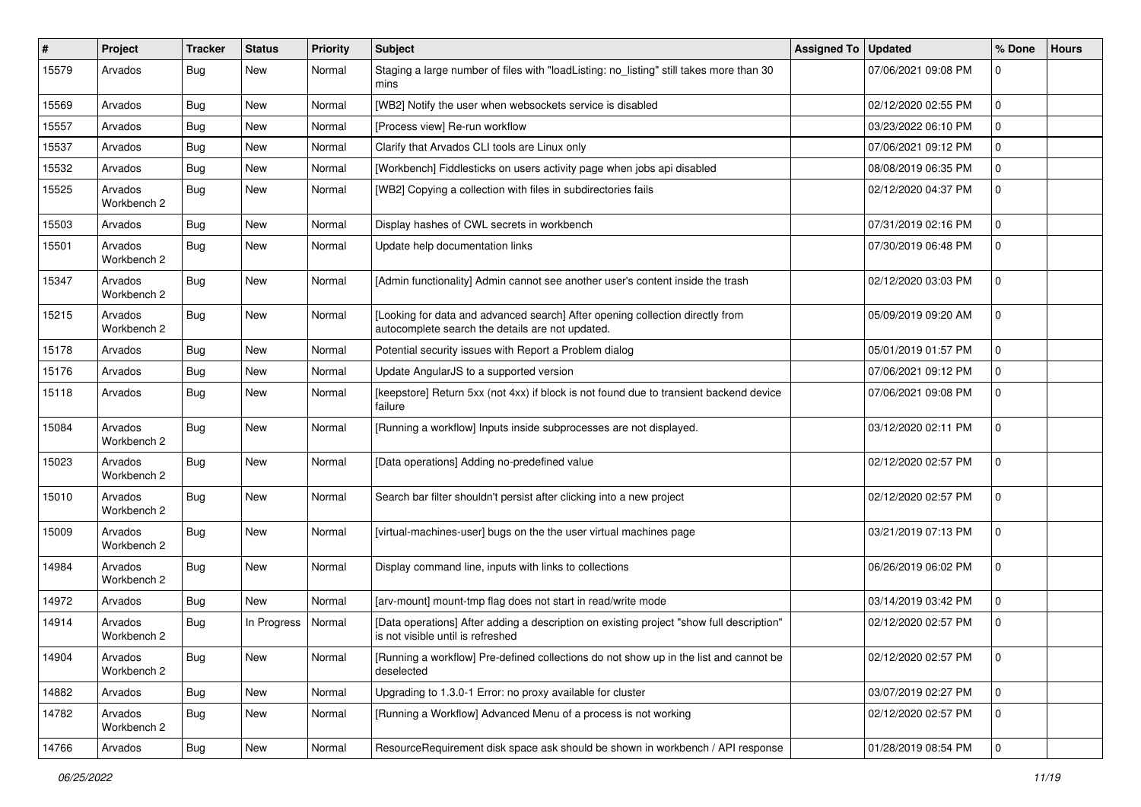| $\pmb{\#}$ | Project                | Tracker    | <b>Status</b> | Priority | <b>Subject</b>                                                                                                                    | <b>Assigned To</b> | <b>Updated</b>      | % Done       | <b>Hours</b> |
|------------|------------------------|------------|---------------|----------|-----------------------------------------------------------------------------------------------------------------------------------|--------------------|---------------------|--------------|--------------|
| 15579      | Arvados                | <b>Bug</b> | New           | Normal   | Staging a large number of files with "loadListing: no_listing" still takes more than 30<br>mins                                   |                    | 07/06/2021 09:08 PM | $\mathbf 0$  |              |
| 15569      | Arvados                | Bug        | New           | Normal   | [WB2] Notify the user when websockets service is disabled                                                                         |                    | 02/12/2020 02:55 PM | $\mathbf 0$  |              |
| 15557      | Arvados                | <b>Bug</b> | <b>New</b>    | Normal   | [Process view] Re-run workflow                                                                                                    |                    | 03/23/2022 06:10 PM | $\Omega$     |              |
| 15537      | Arvados                | Bug        | New           | Normal   | Clarify that Arvados CLI tools are Linux only                                                                                     |                    | 07/06/2021 09:12 PM | $\mathbf 0$  |              |
| 15532      | Arvados                | <b>Bug</b> | New           | Normal   | [Workbench] Fiddlesticks on users activity page when jobs api disabled                                                            |                    | 08/08/2019 06:35 PM | $\mathbf 0$  |              |
| 15525      | Arvados<br>Workbench 2 | <b>Bug</b> | New           | Normal   | [WB2] Copying a collection with files in subdirectories fails                                                                     |                    | 02/12/2020 04:37 PM | $\Omega$     |              |
| 15503      | Arvados                | Bug        | New           | Normal   | Display hashes of CWL secrets in workbench                                                                                        |                    | 07/31/2019 02:16 PM | $\Omega$     |              |
| 15501      | Arvados<br>Workbench 2 | <b>Bug</b> | <b>New</b>    | Normal   | Update help documentation links                                                                                                   |                    | 07/30/2019 06:48 PM | $\mathbf 0$  |              |
| 15347      | Arvados<br>Workbench 2 | <b>Bug</b> | <b>New</b>    | Normal   | [Admin functionality] Admin cannot see another user's content inside the trash                                                    |                    | 02/12/2020 03:03 PM | $\mathbf{0}$ |              |
| 15215      | Arvados<br>Workbench 2 | Bug        | New           | Normal   | [Looking for data and advanced search] After opening collection directly from<br>autocomplete search the details are not updated. |                    | 05/09/2019 09:20 AM | $\mathbf 0$  |              |
| 15178      | Arvados                | <b>Bug</b> | New           | Normal   | Potential security issues with Report a Problem dialog                                                                            |                    | 05/01/2019 01:57 PM | $\mathbf 0$  |              |
| 15176      | Arvados                | <b>Bug</b> | New           | Normal   | Update AngularJS to a supported version                                                                                           |                    | 07/06/2021 09:12 PM | $\mathbf 0$  |              |
| 15118      | Arvados                | <b>Bug</b> | New           | Normal   | [keepstore] Return 5xx (not 4xx) if block is not found due to transient backend device<br>failure                                 |                    | 07/06/2021 09:08 PM | $\mathbf{0}$ |              |
| 15084      | Arvados<br>Workbench 2 | <b>Bug</b> | New           | Normal   | [Running a workflow] Inputs inside subprocesses are not displayed.                                                                |                    | 03/12/2020 02:11 PM | $\mathbf{0}$ |              |
| 15023      | Arvados<br>Workbench 2 | Bug        | New           | Normal   | [Data operations] Adding no-predefined value                                                                                      |                    | 02/12/2020 02:57 PM | $\mathbf 0$  |              |
| 15010      | Arvados<br>Workbench 2 | Bug        | New           | Normal   | Search bar filter shouldn't persist after clicking into a new project                                                             |                    | 02/12/2020 02:57 PM | $\mathbf 0$  |              |
| 15009      | Arvados<br>Workbench 2 | <b>Bug</b> | New           | Normal   | [virtual-machines-user] bugs on the the user virtual machines page                                                                |                    | 03/21/2019 07:13 PM | $\mathbf 0$  |              |
| 14984      | Arvados<br>Workbench 2 | Bug        | New           | Normal   | Display command line, inputs with links to collections                                                                            |                    | 06/26/2019 06:02 PM | $\mathbf 0$  |              |
| 14972      | Arvados                | <b>Bug</b> | <b>New</b>    | Normal   | [arv-mount] mount-tmp flag does not start in read/write mode                                                                      |                    | 03/14/2019 03:42 PM | $\mathbf 0$  |              |
| 14914      | Arvados<br>Workbench 2 | <b>Bug</b> | In Progress   | Normal   | [Data operations] After adding a description on existing project "show full description"<br>is not visible until is refreshed     |                    | 02/12/2020 02:57 PM | $\mathbf 0$  |              |
| 14904      | Arvados<br>Workbench 2 | <b>Bug</b> | New           | Normal   | [Running a workflow] Pre-defined collections do not show up in the list and cannot be<br>deselected                               |                    | 02/12/2020 02:57 PM | 0            |              |
| 14882      | Arvados                | Bug        | New           | Normal   | Upgrading to 1.3.0-1 Error: no proxy available for cluster                                                                        |                    | 03/07/2019 02:27 PM | 0            |              |
| 14782      | Arvados<br>Workbench 2 | <b>Bug</b> | New           | Normal   | [Running a Workflow] Advanced Menu of a process is not working                                                                    |                    | 02/12/2020 02:57 PM | $\mathbf 0$  |              |
| 14766      | Arvados                | <b>Bug</b> | New           | Normal   | ResourceRequirement disk space ask should be shown in workbench / API response                                                    |                    | 01/28/2019 08:54 PM | 0            |              |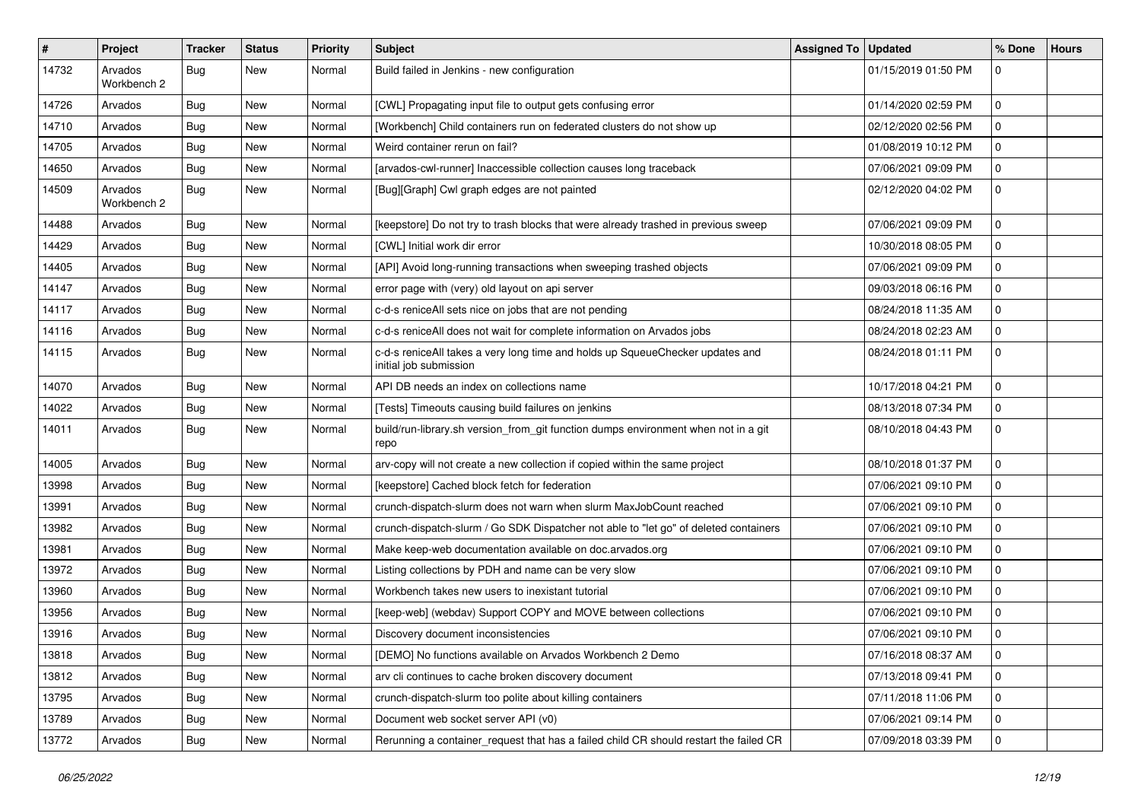| #     | Project                | <b>Tracker</b> | <b>Status</b> | <b>Priority</b> | Subject                                                                                                 | Assigned To   Updated |                     | % Done      | <b>Hours</b> |
|-------|------------------------|----------------|---------------|-----------------|---------------------------------------------------------------------------------------------------------|-----------------------|---------------------|-------------|--------------|
| 14732 | Arvados<br>Workbench 2 | <b>Bug</b>     | New           | Normal          | Build failed in Jenkins - new configuration                                                             |                       | 01/15/2019 01:50 PM | $\mathbf 0$ |              |
| 14726 | Arvados                | <b>Bug</b>     | New           | Normal          | [CWL] Propagating input file to output gets confusing error                                             |                       | 01/14/2020 02:59 PM | $\mathbf 0$ |              |
| 14710 | Arvados                | <b>Bug</b>     | <b>New</b>    | Normal          | [Workbench] Child containers run on federated clusters do not show up                                   |                       | 02/12/2020 02:56 PM | 0           |              |
| 14705 | Arvados                | <b>Bug</b>     | <b>New</b>    | Normal          | Weird container rerun on fail?                                                                          |                       | 01/08/2019 10:12 PM | 0           |              |
| 14650 | Arvados                | <b>Bug</b>     | New           | Normal          | [arvados-cwl-runner] Inaccessible collection causes long traceback                                      |                       | 07/06/2021 09:09 PM | 0           |              |
| 14509 | Arvados<br>Workbench 2 | <b>Bug</b>     | New           | Normal          | [Bug][Graph] Cwl graph edges are not painted                                                            |                       | 02/12/2020 04:02 PM | $\mathbf 0$ |              |
| 14488 | Arvados                | <b>Bug</b>     | <b>New</b>    | Normal          | [keepstore] Do not try to trash blocks that were already trashed in previous sweep                      |                       | 07/06/2021 09:09 PM | 0           |              |
| 14429 | Arvados                | Bug            | <b>New</b>    | Normal          | [CWL] Initial work dir error                                                                            |                       | 10/30/2018 08:05 PM | 0           |              |
| 14405 | Arvados                | <b>Bug</b>     | New           | Normal          | [API] Avoid long-running transactions when sweeping trashed objects                                     |                       | 07/06/2021 09:09 PM | 0           |              |
| 14147 | Arvados                | <b>Bug</b>     | <b>New</b>    | Normal          | error page with (very) old layout on api server                                                         |                       | 09/03/2018 06:16 PM | $\mathbf 0$ |              |
| 14117 | Arvados                | <b>Bug</b>     | New           | Normal          | c-d-s reniceAll sets nice on jobs that are not pending                                                  |                       | 08/24/2018 11:35 AM | 0           |              |
| 14116 | Arvados                | <b>Bug</b>     | New           | Normal          | c-d-s reniceAll does not wait for complete information on Arvados jobs                                  |                       | 08/24/2018 02:23 AM | $\mathbf 0$ |              |
| 14115 | Arvados                | <b>Bug</b>     | New           | Normal          | c-d-s reniceAll takes a very long time and holds up SqueueChecker updates and<br>initial job submission |                       | 08/24/2018 01:11 PM | $\mathbf 0$ |              |
| 14070 | Arvados                | <b>Bug</b>     | New           | Normal          | API DB needs an index on collections name                                                               |                       | 10/17/2018 04:21 PM | $\mathbf 0$ |              |
| 14022 | Arvados                | <b>Bug</b>     | <b>New</b>    | Normal          | [Tests] Timeouts causing build failures on jenkins                                                      |                       | 08/13/2018 07:34 PM | 0           |              |
| 14011 | Arvados                | <b>Bug</b>     | New           | Normal          | build/run-library.sh version_from_git function dumps environment when not in a git<br>repo              |                       | 08/10/2018 04:43 PM | 0           |              |
| 14005 | Arvados                | <b>Bug</b>     | New           | Normal          | arv-copy will not create a new collection if copied within the same project                             |                       | 08/10/2018 01:37 PM | $\mathbf 0$ |              |
| 13998 | Arvados                | <b>Bug</b>     | New           | Normal          | [keepstore] Cached block fetch for federation                                                           |                       | 07/06/2021 09:10 PM | $\mathbf 0$ |              |
| 13991 | Arvados                | Bug            | <b>New</b>    | Normal          | crunch-dispatch-slurm does not warn when slurm MaxJobCount reached                                      |                       | 07/06/2021 09:10 PM | $\mathbf 0$ |              |
| 13982 | Arvados                | <b>Bug</b>     | New           | Normal          | crunch-dispatch-slurm / Go SDK Dispatcher not able to "let go" of deleted containers                    |                       | 07/06/2021 09:10 PM | $\mathbf 0$ |              |
| 13981 | Arvados                | <b>Bug</b>     | New           | Normal          | Make keep-web documentation available on doc.arvados.org                                                |                       | 07/06/2021 09:10 PM | $\mathbf 0$ |              |
| 13972 | Arvados                | <b>Bug</b>     | New           | Normal          | Listing collections by PDH and name can be very slow                                                    |                       | 07/06/2021 09:10 PM | 0           |              |
| 13960 | Arvados                | <b>Bug</b>     | New           | Normal          | Workbench takes new users to inexistant tutorial                                                        |                       | 07/06/2021 09:10 PM | 0           |              |
| 13956 | Arvados                | <b>Bug</b>     | <b>New</b>    | Normal          | [keep-web] (webdav) Support COPY and MOVE between collections                                           |                       | 07/06/2021 09:10 PM | $\mathbf 0$ |              |
| 13916 | Arvados                | <b>Bug</b>     | New           | Normal          | Discovery document inconsistencies                                                                      |                       | 07/06/2021 09:10 PM | $\mathbf 0$ |              |
| 13818 | Arvados                | <b>Bug</b>     | New           | Normal          | [DEMO] No functions available on Arvados Workbench 2 Demo                                               |                       | 07/16/2018 08:37 AM | 0           |              |
| 13812 | Arvados                | <b>Bug</b>     | New           | Normal          | arv cli continues to cache broken discovery document                                                    |                       | 07/13/2018 09:41 PM | 0           |              |
| 13795 | Arvados                | <b>Bug</b>     | New           | Normal          | crunch-dispatch-slurm too polite about killing containers                                               |                       | 07/11/2018 11:06 PM | $\mathbf 0$ |              |
| 13789 | Arvados                | <b>Bug</b>     | New           | Normal          | Document web socket server API (v0)                                                                     |                       | 07/06/2021 09:14 PM | 0           |              |
| 13772 | Arvados                | <b>Bug</b>     | New           | Normal          | Rerunning a container_request that has a failed child CR should restart the failed CR                   |                       | 07/09/2018 03:39 PM | 0           |              |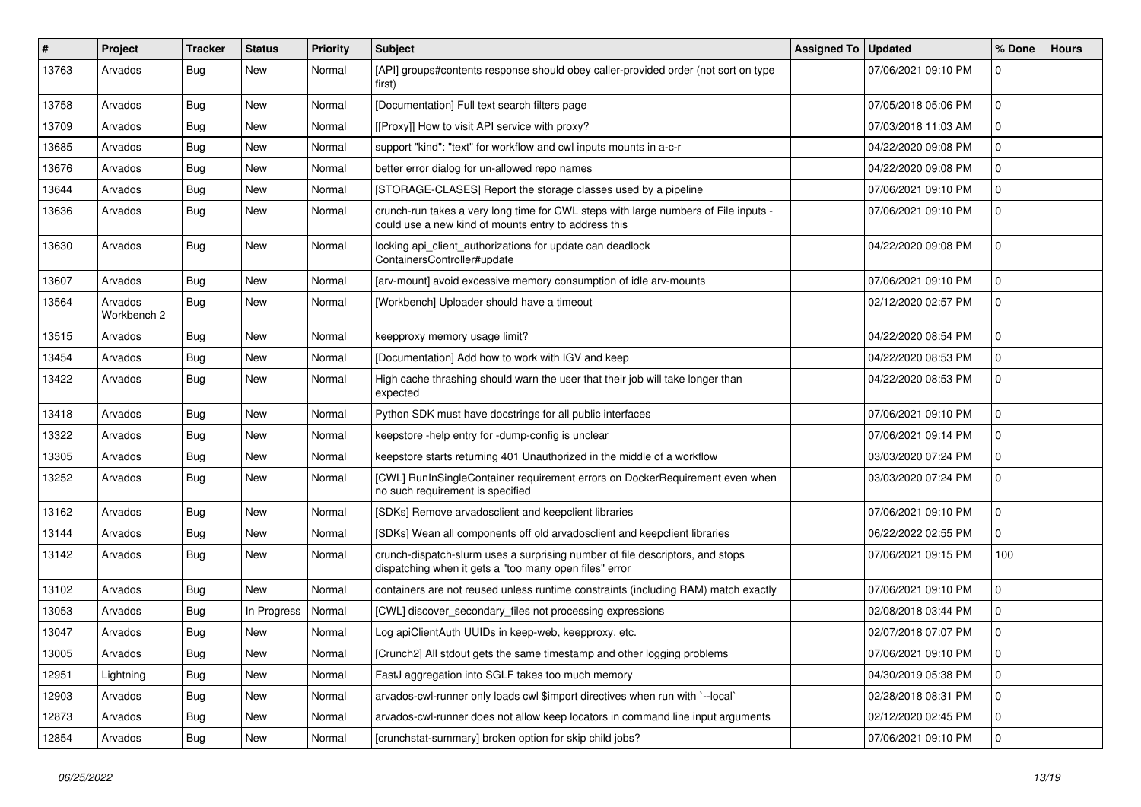| #     | Project                | <b>Tracker</b> | <b>Status</b> | <b>Priority</b> | <b>Subject</b>                                                                                                                              | <b>Assigned To</b> | <b>Updated</b>      | % Done      | <b>Hours</b> |
|-------|------------------------|----------------|---------------|-----------------|---------------------------------------------------------------------------------------------------------------------------------------------|--------------------|---------------------|-------------|--------------|
| 13763 | Arvados                | <b>Bug</b>     | New           | Normal          | [API] groups#contents response should obey caller-provided order (not sort on type<br>first)                                                |                    | 07/06/2021 09:10 PM | $\mathbf 0$ |              |
| 13758 | Arvados                | <b>Bug</b>     | New           | Normal          | [Documentation] Full text search filters page                                                                                               |                    | 07/05/2018 05:06 PM | $\mathbf 0$ |              |
| 13709 | Arvados                | Bug            | New           | Normal          | [[Proxy]] How to visit API service with proxy?                                                                                              |                    | 07/03/2018 11:03 AM | 0           |              |
| 13685 | Arvados                | <b>Bug</b>     | <b>New</b>    | Normal          | support "kind": "text" for workflow and cwl inputs mounts in a-c-r                                                                          |                    | 04/22/2020 09:08 PM | 0           |              |
| 13676 | Arvados                | Bug            | New           | Normal          | better error dialog for un-allowed repo names                                                                                               |                    | 04/22/2020 09:08 PM | 0           |              |
| 13644 | Arvados                | <b>Bug</b>     | <b>New</b>    | Normal          | [STORAGE-CLASES] Report the storage classes used by a pipeline                                                                              |                    | 07/06/2021 09:10 PM | 0           |              |
| 13636 | Arvados                | Bug            | New           | Normal          | crunch-run takes a very long time for CWL steps with large numbers of File inputs -<br>could use a new kind of mounts entry to address this |                    | 07/06/2021 09:10 PM | $\mathbf 0$ |              |
| 13630 | Arvados                | <b>Bug</b>     | New           | Normal          | locking api_client_authorizations for update can deadlock<br>ContainersController#update                                                    |                    | 04/22/2020 09:08 PM | $\mathbf 0$ |              |
| 13607 | Arvados                | Bug            | New           | Normal          | [arv-mount] avoid excessive memory consumption of idle arv-mounts                                                                           |                    | 07/06/2021 09:10 PM | $\mathbf 0$ |              |
| 13564 | Arvados<br>Workbench 2 | <b>Bug</b>     | <b>New</b>    | Normal          | [Workbench] Uploader should have a timeout                                                                                                  |                    | 02/12/2020 02:57 PM | $\mathbf 0$ |              |
| 13515 | Arvados                | Bug            | <b>New</b>    | Normal          | keepproxy memory usage limit?                                                                                                               |                    | 04/22/2020 08:54 PM | $\mathbf 0$ |              |
| 13454 | Arvados                | <b>Bug</b>     | New           | Normal          | [Documentation] Add how to work with IGV and keep                                                                                           |                    | 04/22/2020 08:53 PM | $\mathbf 0$ |              |
| 13422 | Arvados                | <b>Bug</b>     | New           | Normal          | High cache thrashing should warn the user that their job will take longer than<br>expected                                                  |                    | 04/22/2020 08:53 PM | $\mathbf 0$ |              |
| 13418 | Arvados                | Bug            | New           | Normal          | Python SDK must have docstrings for all public interfaces                                                                                   |                    | 07/06/2021 09:10 PM | $\mathbf 0$ |              |
| 13322 | Arvados                | Bug            | New           | Normal          | keepstore -help entry for -dump-config is unclear                                                                                           |                    | 07/06/2021 09:14 PM | $\mathbf 0$ |              |
| 13305 | Arvados                | <b>Bug</b>     | <b>New</b>    | Normal          | keepstore starts returning 401 Unauthorized in the middle of a workflow                                                                     |                    | 03/03/2020 07:24 PM | 0           |              |
| 13252 | Arvados                | <b>Bug</b>     | New           | Normal          | [CWL] RunInSingleContainer requirement errors on DockerRequirement even when<br>no such requirement is specified                            |                    | 03/03/2020 07:24 PM | 0           |              |
| 13162 | Arvados                | <b>Bug</b>     | New           | Normal          | [SDKs] Remove arvadosclient and keepclient libraries                                                                                        |                    | 07/06/2021 09:10 PM | $\mathbf 0$ |              |
| 13144 | Arvados                | Bug            | New           | Normal          | [SDKs] Wean all components off old arvadosclient and keepclient libraries                                                                   |                    | 06/22/2022 02:55 PM | 0           |              |
| 13142 | Arvados                | <b>Bug</b>     | New           | Normal          | crunch-dispatch-slurm uses a surprising number of file descriptors, and stops<br>dispatching when it gets a "too many open files" error     |                    | 07/06/2021 09:15 PM | 100         |              |
| 13102 | Arvados                | Bug            | New           | Normal          | containers are not reused unless runtime constraints (including RAM) match exactly                                                          |                    | 07/06/2021 09:10 PM | $\mathbf 0$ |              |
| 13053 | Arvados                | Bug            | In Progress   | Normal          | [CWL] discover_secondary_files not processing expressions                                                                                   |                    | 02/08/2018 03:44 PM | 0           |              |
| 13047 | Arvados                | <b>Bug</b>     | New           | Normal          | Log apiClientAuth UUIDs in keep-web, keepproxy, etc.                                                                                        |                    | 02/07/2018 07:07 PM | 0           |              |
| 13005 | Arvados                | <b>Bug</b>     | New           | Normal          | [Crunch2] All stdout gets the same timestamp and other logging problems                                                                     |                    | 07/06/2021 09:10 PM | 0           |              |
| 12951 | Lightning              | Bug            | New           | Normal          | FastJ aggregation into SGLF takes too much memory                                                                                           |                    | 04/30/2019 05:38 PM | $\mathbf 0$ |              |
| 12903 | Arvados                | <b>Bug</b>     | New           | Normal          | arvados-cwl-runner only loads cwl \$import directives when run with `--local`                                                               |                    | 02/28/2018 08:31 PM | $\mathbf 0$ |              |
| 12873 | Arvados                | <b>Bug</b>     | New           | Normal          | arvados-cwl-runner does not allow keep locators in command line input arguments                                                             |                    | 02/12/2020 02:45 PM | $\mathbf 0$ |              |
| 12854 | Arvados                | <b>Bug</b>     | New           | Normal          | [crunchstat-summary] broken option for skip child jobs?                                                                                     |                    | 07/06/2021 09:10 PM | 0           |              |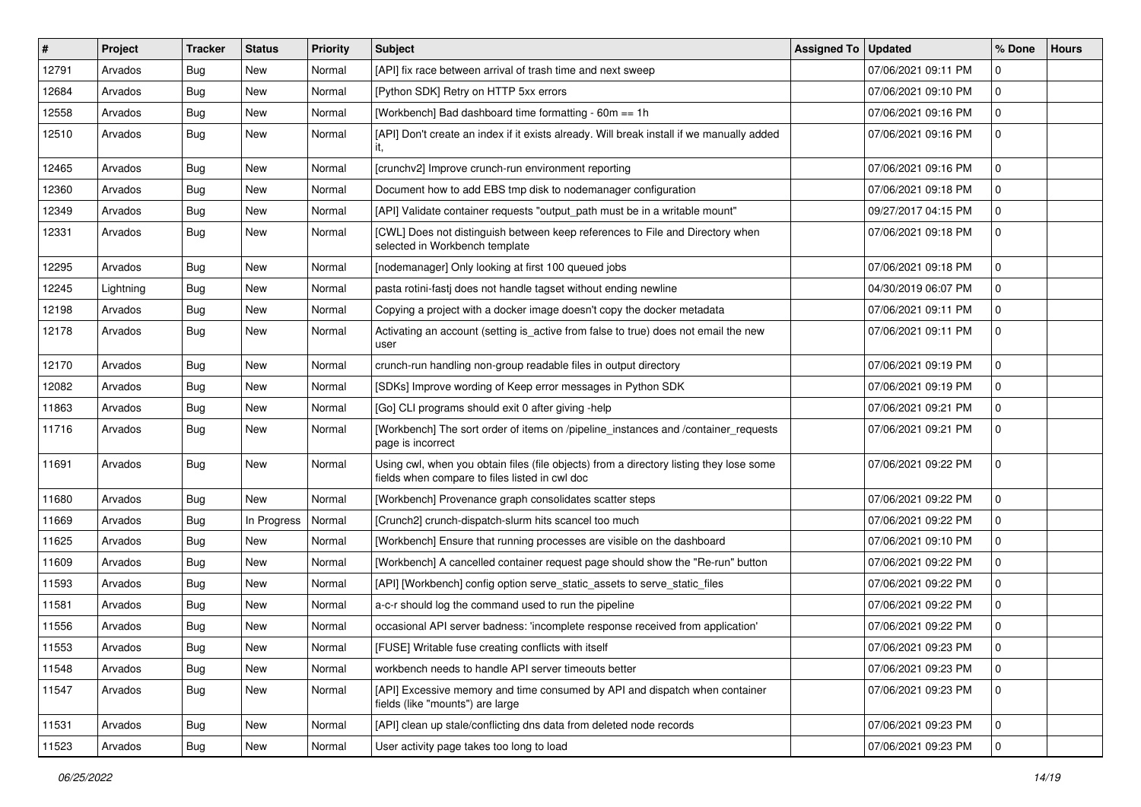| #     | Project   | Tracker    | <b>Status</b> | <b>Priority</b> | <b>Subject</b>                                                                                                                            | <b>Assigned To</b> | <b>Updated</b>      | % Done       | <b>Hours</b> |
|-------|-----------|------------|---------------|-----------------|-------------------------------------------------------------------------------------------------------------------------------------------|--------------------|---------------------|--------------|--------------|
| 12791 | Arvados   | <b>Bug</b> | New           | Normal          | [API] fix race between arrival of trash time and next sweep                                                                               |                    | 07/06/2021 09:11 PM | $\mathbf 0$  |              |
| 12684 | Arvados   | <b>Bug</b> | New           | Normal          | [Python SDK] Retry on HTTP 5xx errors                                                                                                     |                    | 07/06/2021 09:10 PM | 0            |              |
| 12558 | Arvados   | <b>Bug</b> | New           | Normal          | [Workbench] Bad dashboard time formatting - 60m == 1h                                                                                     |                    | 07/06/2021 09:16 PM | $\mathbf 0$  |              |
| 12510 | Arvados   | <b>Bug</b> | New           | Normal          | [API] Don't create an index if it exists already. Will break install if we manually added                                                 |                    | 07/06/2021 09:16 PM | $\mathbf 0$  |              |
| 12465 | Arvados   | <b>Bug</b> | New           | Normal          | [crunchv2] Improve crunch-run environment reporting                                                                                       |                    | 07/06/2021 09:16 PM | 0            |              |
| 12360 | Arvados   | <b>Bug</b> | New           | Normal          | Document how to add EBS tmp disk to nodemanager configuration                                                                             |                    | 07/06/2021 09:18 PM | $\mathbf 0$  |              |
| 12349 | Arvados   | <b>Bug</b> | New           | Normal          | [API] Validate container requests "output_path must be in a writable mount"                                                               |                    | 09/27/2017 04:15 PM | 0            |              |
| 12331 | Arvados   | <b>Bug</b> | New           | Normal          | [CWL] Does not distinguish between keep references to File and Directory when<br>selected in Workbench template                           |                    | 07/06/2021 09:18 PM | $\mathbf 0$  |              |
| 12295 | Arvados   | <b>Bug</b> | New           | Normal          | [nodemanager] Only looking at first 100 queued jobs                                                                                       |                    | 07/06/2021 09:18 PM | $\mathbf 0$  |              |
| 12245 | Lightning | <b>Bug</b> | New           | Normal          | pasta rotini-fastj does not handle tagset without ending newline                                                                          |                    | 04/30/2019 06:07 PM | $\mathbf 0$  |              |
| 12198 | Arvados   | <b>Bug</b> | New           | Normal          | Copying a project with a docker image doesn't copy the docker metadata                                                                    |                    | 07/06/2021 09:11 PM | 0            |              |
| 12178 | Arvados   | <b>Bug</b> | New           | Normal          | Activating an account (setting is_active from false to true) does not email the new<br>user                                               |                    | 07/06/2021 09:11 PM | $\mathbf 0$  |              |
| 12170 | Arvados   | <b>Bug</b> | New           | Normal          | crunch-run handling non-group readable files in output directory                                                                          |                    | 07/06/2021 09:19 PM | 0            |              |
| 12082 | Arvados   | <b>Bug</b> | New           | Normal          | [SDKs] Improve wording of Keep error messages in Python SDK                                                                               |                    | 07/06/2021 09:19 PM | 0            |              |
| 11863 | Arvados   | Bug        | New           | Normal          | [Go] CLI programs should exit 0 after giving -help                                                                                        |                    | 07/06/2021 09:21 PM | 0            |              |
| 11716 | Arvados   | <b>Bug</b> | New           | Normal          | [Workbench] The sort order of items on /pipeline_instances and /container_requests<br>page is incorrect                                   |                    | 07/06/2021 09:21 PM | $\mathbf 0$  |              |
| 11691 | Arvados   | <b>Bug</b> | New           | Normal          | Using cwl, when you obtain files (file objects) from a directory listing they lose some<br>fields when compare to files listed in cwl doc |                    | 07/06/2021 09:22 PM | $\mathbf 0$  |              |
| 11680 | Arvados   | <b>Bug</b> | New           | Normal          | [Workbench] Provenance graph consolidates scatter steps                                                                                   |                    | 07/06/2021 09:22 PM | $\mathbf{0}$ |              |
| 11669 | Arvados   | <b>Bug</b> | In Progress   | Normal          | [Crunch2] crunch-dispatch-slurm hits scancel too much                                                                                     |                    | 07/06/2021 09:22 PM | 0            |              |
| 11625 | Arvados   | <b>Bug</b> | New           | Normal          | [Workbench] Ensure that running processes are visible on the dashboard                                                                    |                    | 07/06/2021 09:10 PM | 0            |              |
| 11609 | Arvados   | Bug        | New           | Normal          | [Workbench] A cancelled container request page should show the "Re-run" button                                                            |                    | 07/06/2021 09:22 PM | 0            |              |
| 11593 | Arvados   | <b>Bug</b> | New           | Normal          | [API] [Workbench] config option serve_static_assets to serve_static_files                                                                 |                    | 07/06/2021 09:22 PM | 0            |              |
| 11581 | Arvados   | <b>Bug</b> | New           | Normal          | a-c-r should log the command used to run the pipeline                                                                                     |                    | 07/06/2021 09:22 PM | $\mathbf 0$  |              |
| 11556 | Arvados   | <b>Bug</b> | New           | Normal          | occasional API server badness: 'incomplete response received from application'                                                            |                    | 07/06/2021 09:22 PM | 0            |              |
| 11553 | Arvados   | <b>Bug</b> | New           | Normal          | [FUSE] Writable fuse creating conflicts with itself                                                                                       |                    | 07/06/2021 09:23 PM | 0            |              |
| 11548 | Arvados   | Bug        | New           | Normal          | workbench needs to handle API server timeouts better                                                                                      |                    | 07/06/2021 09:23 PM | $\mathbf 0$  |              |
| 11547 | Arvados   | Bug        | New           | Normal          | [API] Excessive memory and time consumed by API and dispatch when container<br>fields (like "mounts") are large                           |                    | 07/06/2021 09:23 PM | $\mathbf 0$  |              |
| 11531 | Arvados   | Bug        | New           | Normal          | [API] clean up stale/conflicting dns data from deleted node records                                                                       |                    | 07/06/2021 09:23 PM | 0            |              |
| 11523 | Arvados   | Bug        | New           | Normal          | User activity page takes too long to load                                                                                                 |                    | 07/06/2021 09:23 PM | $\mathbf 0$  |              |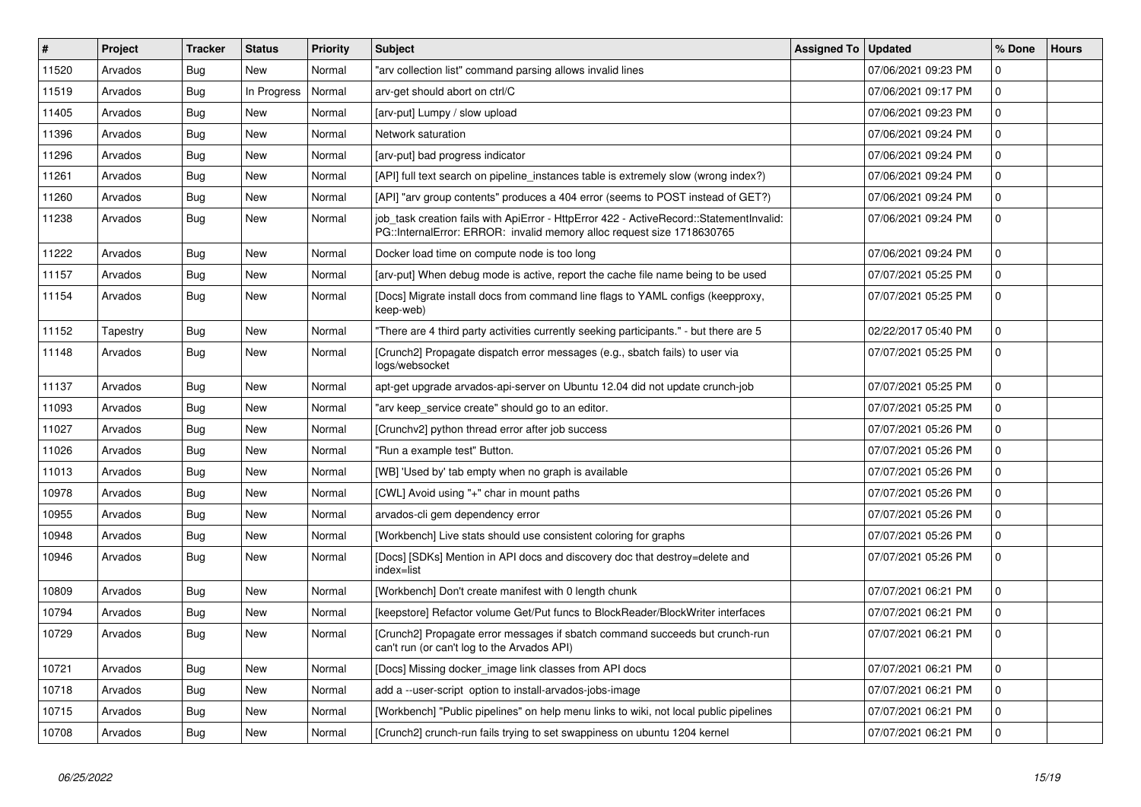| $\#$  | Project  | <b>Tracker</b> | <b>Status</b> | <b>Priority</b> | <b>Subject</b>                                                                                                                                                    | <b>Assigned To</b> | <b>Updated</b>      | % Done       | <b>Hours</b> |
|-------|----------|----------------|---------------|-----------------|-------------------------------------------------------------------------------------------------------------------------------------------------------------------|--------------------|---------------------|--------------|--------------|
| 11520 | Arvados  | Bug            | New           | Normal          | "arv collection list" command parsing allows invalid lines                                                                                                        |                    | 07/06/2021 09:23 PM | $\mathbf 0$  |              |
| 11519 | Arvados  | Bug            | In Progress   | Normal          | arv-get should abort on ctrl/C                                                                                                                                    |                    | 07/06/2021 09:17 PM | $\mathbf 0$  |              |
| 11405 | Arvados  | Bug            | <b>New</b>    | Normal          | [arv-put] Lumpy / slow upload                                                                                                                                     |                    | 07/06/2021 09:23 PM | $\mathbf 0$  |              |
| 11396 | Arvados  | Bug            | <b>New</b>    | Normal          | Network saturation                                                                                                                                                |                    | 07/06/2021 09:24 PM | $\mathbf 0$  |              |
| 11296 | Arvados  | Bug            | <b>New</b>    | Normal          | [arv-put] bad progress indicator                                                                                                                                  |                    | 07/06/2021 09:24 PM | $\mathbf 0$  |              |
| 11261 | Arvados  | Bug            | <b>New</b>    | Normal          | [API] full text search on pipeline instances table is extremely slow (wrong index?)                                                                               |                    | 07/06/2021 09:24 PM | $\Omega$     |              |
| 11260 | Arvados  | Bug            | <b>New</b>    | Normal          | [API] "arv group contents" produces a 404 error (seems to POST instead of GET?)                                                                                   |                    | 07/06/2021 09:24 PM | $\Omega$     |              |
| 11238 | Arvados  | Bug            | <b>New</b>    | Normal          | job task creation fails with ApiError - HttpError 422 - ActiveRecord::StatementInvalid:<br>PG::InternalError: ERROR: invalid memory alloc request size 1718630765 |                    | 07/06/2021 09:24 PM | $\mathbf 0$  |              |
| 11222 | Arvados  | Bug            | <b>New</b>    | Normal          | Docker load time on compute node is too long                                                                                                                      |                    | 07/06/2021 09:24 PM | $\Omega$     |              |
| 11157 | Arvados  | Bug            | <b>New</b>    | Normal          | [arv-put] When debug mode is active, report the cache file name being to be used                                                                                  |                    | 07/07/2021 05:25 PM | $\mathbf 0$  |              |
| 11154 | Arvados  | <b>Bug</b>     | New           | Normal          | [Docs] Migrate install docs from command line flags to YAML configs (keepproxy,<br>keep-web)                                                                      |                    | 07/07/2021 05:25 PM | $\mathbf 0$  |              |
| 11152 | Tapestry | Bug            | <b>New</b>    | Normal          | "There are 4 third party activities currently seeking participants." - but there are 5                                                                            |                    | 02/22/2017 05:40 PM | $\Omega$     |              |
| 11148 | Arvados  | Bug            | New           | Normal          | [Crunch2] Propagate dispatch error messages (e.g., sbatch fails) to user via<br>logs/websocket                                                                    |                    | 07/07/2021 05:25 PM | $\mathbf 0$  |              |
| 11137 | Arvados  | Bug            | <b>New</b>    | Normal          | apt-get upgrade arvados-api-server on Ubuntu 12.04 did not update crunch-job                                                                                      |                    | 07/07/2021 05:25 PM | $\Omega$     |              |
| 11093 | Arvados  | <b>Bug</b>     | <b>New</b>    | Normal          | "arv keep_service create" should go to an editor.                                                                                                                 |                    | 07/07/2021 05:25 PM | $\mathbf 0$  |              |
| 11027 | Arvados  | Bug            | <b>New</b>    | Normal          | [Crunchv2] python thread error after job success                                                                                                                  |                    | 07/07/2021 05:26 PM | $\mathbf{0}$ |              |
| 11026 | Arvados  | Bug            | <b>New</b>    | Normal          | "Run a example test" Button.                                                                                                                                      |                    | 07/07/2021 05:26 PM | $\mathbf{0}$ |              |
| 11013 | Arvados  | Bug            | <b>New</b>    | Normal          | [WB] 'Used by' tab empty when no graph is available                                                                                                               |                    | 07/07/2021 05:26 PM | $\Omega$     |              |
| 10978 | Arvados  | Bug            | <b>New</b>    | Normal          | [CWL] Avoid using "+" char in mount paths                                                                                                                         |                    | 07/07/2021 05:26 PM | $\mathbf 0$  |              |
| 10955 | Arvados  | Bug            | <b>New</b>    | Normal          | arvados-cli gem dependency error                                                                                                                                  |                    | 07/07/2021 05:26 PM | $\mathbf 0$  |              |
| 10948 | Arvados  | Bug            | <b>New</b>    | Normal          | [Workbench] Live stats should use consistent coloring for graphs                                                                                                  |                    | 07/07/2021 05:26 PM | $\mathbf 0$  |              |
| 10946 | Arvados  | Bug            | <b>New</b>    | Normal          | [Docs] [SDKs] Mention in API docs and discovery doc that destroy=delete and<br>index=list                                                                         |                    | 07/07/2021 05:26 PM | $\Omega$     |              |
| 10809 | Arvados  | <b>Bug</b>     | <b>New</b>    | Normal          | [Workbench] Don't create manifest with 0 length chunk                                                                                                             |                    | 07/07/2021 06:21 PM | $\mathbf 0$  |              |
| 10794 | Arvados  | Bug            | New           | Normal          | [keepstore] Refactor volume Get/Put funcs to BlockReader/BlockWriter interfaces                                                                                   |                    | 07/07/2021 06:21 PM | $\Omega$     |              |
| 10729 | Arvados  | <b>Bug</b>     | New           | Normal          | [Crunch2] Propagate error messages if sbatch command succeeds but crunch-run<br>can't run (or can't log to the Arvados API)                                       |                    | 07/07/2021 06:21 PM | $\Omega$     |              |
| 10721 | Arvados  | Bug            | <b>New</b>    | Normal          | [Docs] Missing docker image link classes from API docs                                                                                                            |                    | 07/07/2021 06:21 PM | $\mathbf 0$  |              |
| 10718 | Arvados  | Bug            | <b>New</b>    | Normal          | add a --user-script option to install-arvados-jobs-image                                                                                                          |                    | 07/07/2021 06:21 PM | $\mathbf 0$  |              |
| 10715 | Arvados  | <b>Bug</b>     | <b>New</b>    | Normal          | [Workbench] "Public pipelines" on help menu links to wiki, not local public pipelines                                                                             |                    | 07/07/2021 06:21 PM | $\mathbf 0$  |              |
| 10708 | Arvados  | Bug            | <b>New</b>    | Normal          | [Crunch2] crunch-run fails trying to set swappiness on ubuntu 1204 kernel                                                                                         |                    | 07/07/2021 06:21 PM | $\mathbf 0$  |              |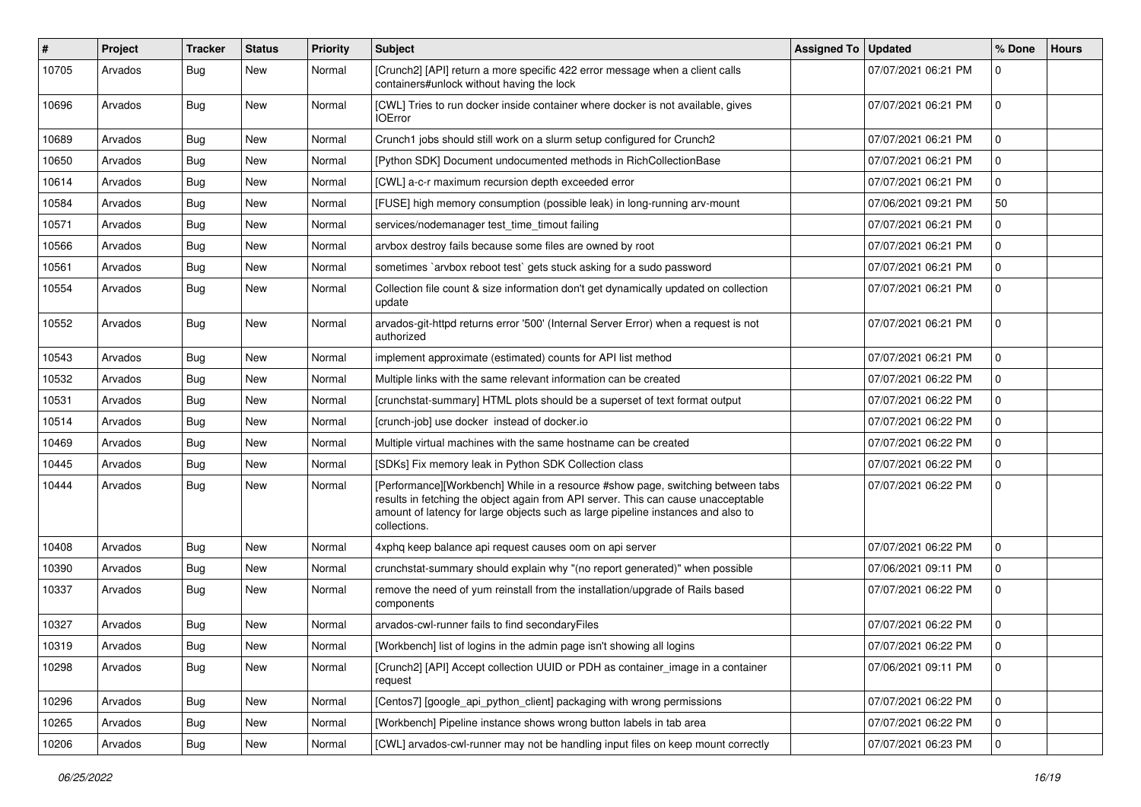| #     | Project | Tracker    | <b>Status</b> | <b>Priority</b> | <b>Subject</b>                                                                                                                                                                                                                                                           | Assigned To   Updated |                     | % Done         | <b>Hours</b> |
|-------|---------|------------|---------------|-----------------|--------------------------------------------------------------------------------------------------------------------------------------------------------------------------------------------------------------------------------------------------------------------------|-----------------------|---------------------|----------------|--------------|
| 10705 | Arvados | <b>Bug</b> | New           | Normal          | [Crunch2] [API] return a more specific 422 error message when a client calls<br>containers#unlock without having the lock                                                                                                                                                |                       | 07/07/2021 06:21 PM | 0              |              |
| 10696 | Arvados | <b>Bug</b> | New           | Normal          | [CWL] Tries to run docker inside container where docker is not available, gives<br><b>IOError</b>                                                                                                                                                                        |                       | 07/07/2021 06:21 PM | $\mathbf 0$    |              |
| 10689 | Arvados | <b>Bug</b> | <b>New</b>    | Normal          | Crunch1 jobs should still work on a slurm setup configured for Crunch2                                                                                                                                                                                                   |                       | 07/07/2021 06:21 PM | $\mathbf 0$    |              |
| 10650 | Arvados | <b>Bug</b> | New           | Normal          | [Python SDK] Document undocumented methods in RichCollectionBase                                                                                                                                                                                                         |                       | 07/07/2021 06:21 PM | 0              |              |
| 10614 | Arvados | <b>Bug</b> | <b>New</b>    | Normal          | [CWL] a-c-r maximum recursion depth exceeded error                                                                                                                                                                                                                       |                       | 07/07/2021 06:21 PM | $\mathbf 0$    |              |
| 10584 | Arvados | <b>Bug</b> | New           | Normal          | [FUSE] high memory consumption (possible leak) in long-running arv-mount                                                                                                                                                                                                 |                       | 07/06/2021 09:21 PM | 50             |              |
| 10571 | Arvados | <b>Bug</b> | New           | Normal          | services/nodemanager test_time_timout failing                                                                                                                                                                                                                            |                       | 07/07/2021 06:21 PM | $\mathbf 0$    |              |
| 10566 | Arvados | Bug        | <b>New</b>    | Normal          | arvbox destroy fails because some files are owned by root                                                                                                                                                                                                                |                       | 07/07/2021 06:21 PM | 0              |              |
| 10561 | Arvados | <b>Bug</b> | New           | Normal          | sometimes `arvbox reboot test` gets stuck asking for a sudo password                                                                                                                                                                                                     |                       | 07/07/2021 06:21 PM | 0              |              |
| 10554 | Arvados | Bug        | New           | Normal          | Collection file count & size information don't get dynamically updated on collection<br>update                                                                                                                                                                           |                       | 07/07/2021 06:21 PM | $\mathbf 0$    |              |
| 10552 | Arvados | <b>Bug</b> | New           | Normal          | arvados-git-httpd returns error '500' (Internal Server Error) when a request is not<br>authorized                                                                                                                                                                        |                       | 07/07/2021 06:21 PM | $\mathbf 0$    |              |
| 10543 | Arvados | Bug        | New           | Normal          | implement approximate (estimated) counts for API list method                                                                                                                                                                                                             |                       | 07/07/2021 06:21 PM | 0              |              |
| 10532 | Arvados | <b>Bug</b> | <b>New</b>    | Normal          | Multiple links with the same relevant information can be created                                                                                                                                                                                                         |                       | 07/07/2021 06:22 PM | 0              |              |
| 10531 | Arvados | <b>Bug</b> | <b>New</b>    | Normal          | [crunchstat-summary] HTML plots should be a superset of text format output                                                                                                                                                                                               |                       | 07/07/2021 06:22 PM | 0              |              |
| 10514 | Arvados | <b>Bug</b> | New           | Normal          | [crunch-job] use docker instead of docker.io                                                                                                                                                                                                                             |                       | 07/07/2021 06:22 PM | 0              |              |
| 10469 | Arvados | <b>Bug</b> | <b>New</b>    | Normal          | Multiple virtual machines with the same hostname can be created                                                                                                                                                                                                          |                       | 07/07/2021 06:22 PM | $\mathbf 0$    |              |
| 10445 | Arvados | <b>Bug</b> | New           | Normal          | [SDKs] Fix memory leak in Python SDK Collection class                                                                                                                                                                                                                    |                       | 07/07/2021 06:22 PM | 0              |              |
| 10444 | Arvados | <b>Bug</b> | New           | Normal          | [Performance][Workbench] While in a resource #show page, switching between tabs<br>results in fetching the object again from API server. This can cause unacceptable<br>amount of latency for large objects such as large pipeline instances and also to<br>collections. |                       | 07/07/2021 06:22 PM | $\mathbf 0$    |              |
| 10408 | Arvados | Bug        | <b>New</b>    | Normal          | 4xphq keep balance api request causes oom on api server                                                                                                                                                                                                                  |                       | 07/07/2021 06:22 PM | $\mathbf 0$    |              |
| 10390 | Arvados | <b>Bug</b> | New           | Normal          | crunchstat-summary should explain why "(no report generated)" when possible                                                                                                                                                                                              |                       | 07/06/2021 09:11 PM | 0              |              |
| 10337 | Arvados | <b>Bug</b> | New           | Normal          | remove the need of yum reinstall from the installation/upgrade of Rails based<br>components                                                                                                                                                                              |                       | 07/07/2021 06:22 PM | $\mathbf 0$    |              |
| 10327 | Arvados | <b>Bug</b> | New           | Normal          | arvados-cwl-runner fails to find secondaryFiles                                                                                                                                                                                                                          |                       | 07/07/2021 06:22 PM | 0              |              |
| 10319 | Arvados | Bug        | New           | Normal          | [Workbench] list of logins in the admin page isn't showing all logins                                                                                                                                                                                                    |                       | 07/07/2021 06:22 PM |                |              |
| 10298 | Arvados | Bug        | New           | Normal          | [Crunch2] [API] Accept collection UUID or PDH as container_image in a container<br>request                                                                                                                                                                               |                       | 07/06/2021 09:11 PM | $\mathbf 0$    |              |
| 10296 | Arvados | Bug        | New           | Normal          | [Centos7] [google_api_python_client] packaging with wrong permissions                                                                                                                                                                                                    |                       | 07/07/2021 06:22 PM | $\overline{0}$ |              |
| 10265 | Arvados | <b>Bug</b> | New           | Normal          | [Workbench] Pipeline instance shows wrong button labels in tab area                                                                                                                                                                                                      |                       | 07/07/2021 06:22 PM | 0              |              |
| 10206 | Arvados | <b>Bug</b> | New           | Normal          | [CWL] arvados-cwl-runner may not be handling input files on keep mount correctly                                                                                                                                                                                         |                       | 07/07/2021 06:23 PM | $\overline{0}$ |              |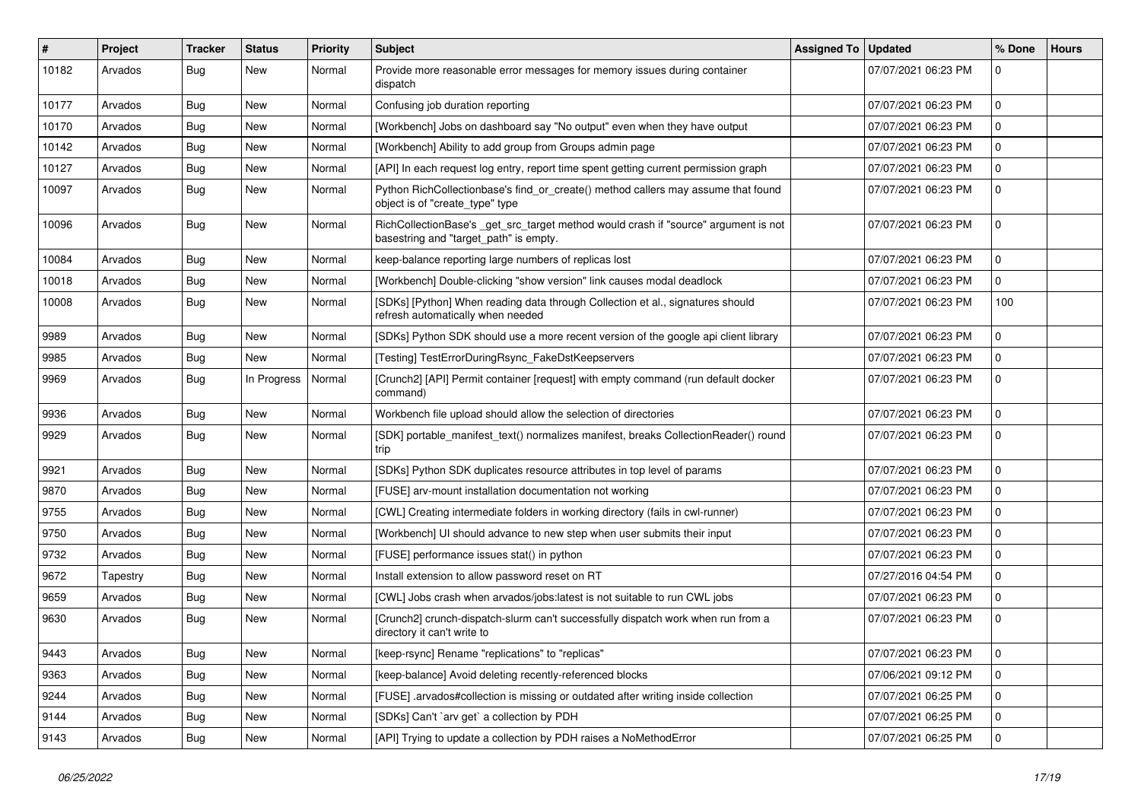| #     | Project  | <b>Tracker</b> | <b>Status</b> | <b>Priority</b> | <b>Subject</b>                                                                                                                | Assigned To   Updated |                     | % Done       | <b>Hours</b> |
|-------|----------|----------------|---------------|-----------------|-------------------------------------------------------------------------------------------------------------------------------|-----------------------|---------------------|--------------|--------------|
| 10182 | Arvados  | <b>Bug</b>     | New           | Normal          | Provide more reasonable error messages for memory issues during container<br>dispatch                                         |                       | 07/07/2021 06:23 PM | $\mathbf 0$  |              |
| 10177 | Arvados  | <b>Bug</b>     | New           | Normal          | Confusing job duration reporting                                                                                              |                       | 07/07/2021 06:23 PM | $\mathbf 0$  |              |
| 10170 | Arvados  | <b>Bug</b>     | New           | Normal          | [Workbench] Jobs on dashboard say "No output" even when they have output                                                      |                       | 07/07/2021 06:23 PM | $\mathbf 0$  |              |
| 10142 | Arvados  | <b>Bug</b>     | <b>New</b>    | Normal          | [Workbench] Ability to add group from Groups admin page                                                                       |                       | 07/07/2021 06:23 PM | $\mathbf 0$  |              |
| 10127 | Arvados  | <b>Bug</b>     | New           | Normal          | [API] In each request log entry, report time spent getting current permission graph                                           |                       | 07/07/2021 06:23 PM | 0            |              |
| 10097 | Arvados  | <b>Bug</b>     | New           | Normal          | Python RichCollectionbase's find_or_create() method callers may assume that found<br>object is of "create_type" type          |                       | 07/07/2021 06:23 PM | $\mathbf 0$  |              |
| 10096 | Arvados  | <b>Bug</b>     | New           | Normal          | RichCollectionBase's _get_src_target method would crash if "source" argument is not<br>basestring and "target_path" is empty. |                       | 07/07/2021 06:23 PM | $\mathbf 0$  |              |
| 10084 | Arvados  | Bug            | New           | Normal          | keep-balance reporting large numbers of replicas lost                                                                         |                       | 07/07/2021 06:23 PM | $\mathbf 0$  |              |
| 10018 | Arvados  | <b>Bug</b>     | New           | Normal          | [Workbench] Double-clicking "show version" link causes modal deadlock                                                         |                       | 07/07/2021 06:23 PM | $\mathbf 0$  |              |
| 10008 | Arvados  | Bug            | New           | Normal          | [SDKs] [Python] When reading data through Collection et al., signatures should<br>refresh automatically when needed           |                       | 07/07/2021 06:23 PM | 100          |              |
| 9989  | Arvados  | Bug            | New           | Normal          | [SDKs] Python SDK should use a more recent version of the google api client library                                           |                       | 07/07/2021 06:23 PM | $\mathbf 0$  |              |
| 9985  | Arvados  | <b>Bug</b>     | New           | Normal          | [Testing] TestErrorDuringRsync_FakeDstKeepservers                                                                             |                       | 07/07/2021 06:23 PM | $\mathbf{0}$ |              |
| 9969  | Arvados  | <b>Bug</b>     | In Progress   | Normal          | [Crunch2] [API] Permit container [request] with empty command (run default docker<br>command)                                 |                       | 07/07/2021 06:23 PM | $\mathbf 0$  |              |
| 9936  | Arvados  | Bug            | New           | Normal          | Workbench file upload should allow the selection of directories                                                               |                       | 07/07/2021 06:23 PM | $\mathbf 0$  |              |
| 9929  | Arvados  | <b>Bug</b>     | New           | Normal          | [SDK] portable_manifest_text() normalizes manifest, breaks CollectionReader() round<br>trip                                   |                       | 07/07/2021 06:23 PM | $\mathbf 0$  |              |
| 9921  | Arvados  | Bug            | New           | Normal          | [SDKs] Python SDK duplicates resource attributes in top level of params                                                       |                       | 07/07/2021 06:23 PM | $\mathbf 0$  |              |
| 9870  | Arvados  | Bug            | New           | Normal          | [FUSE] arv-mount installation documentation not working                                                                       |                       | 07/07/2021 06:23 PM | $\mathbf 0$  |              |
| 9755  | Arvados  | <b>Bug</b>     | New           | Normal          | [CWL] Creating intermediate folders in working directory (fails in cwl-runner)                                                |                       | 07/07/2021 06:23 PM | $\mathbf 0$  |              |
| 9750  | Arvados  | <b>Bug</b>     | New           | Normal          | [Workbench] UI should advance to new step when user submits their input                                                       |                       | 07/07/2021 06:23 PM | $\Omega$     |              |
| 9732  | Arvados  | Bug            | <b>New</b>    | Normal          | [FUSE] performance issues stat() in python                                                                                    |                       | 07/07/2021 06:23 PM | $\mathbf{0}$ |              |
| 9672  | Tapestry | <b>Bug</b>     | New           | Normal          | Install extension to allow password reset on RT                                                                               |                       | 07/27/2016 04:54 PM | $\mathbf 0$  |              |
| 9659  | Arvados  | <b>Bug</b>     | New           | Normal          | [CWL] Jobs crash when arvados/jobs:latest is not suitable to run CWL jobs                                                     |                       | 07/07/2021 06:23 PM | $\mathbf 0$  |              |
| 9630  | Arvados  | Bug            | New           | Normal          | [Crunch2] crunch-dispatch-slurm can't successfully dispatch work when run from a<br>directory it can't write to               |                       | 07/07/2021 06:23 PM | 0            |              |
| 9443  | Arvados  | Bug            | New           | Normal          | [keep-rsync] Rename "replications" to "replicas"                                                                              |                       | 07/07/2021 06:23 PM | 0            |              |
| 9363  | Arvados  | Bug            | New           | Normal          | [keep-balance] Avoid deleting recently-referenced blocks                                                                      |                       | 07/06/2021 09:12 PM | $\mathbf 0$  |              |
| 9244  | Arvados  | <b>Bug</b>     | New           | Normal          | [FUSE] .arvados#collection is missing or outdated after writing inside collection                                             |                       | 07/07/2021 06:25 PM | $\mathbf 0$  |              |
| 9144  | Arvados  | <b>Bug</b>     | New           | Normal          | [SDKs] Can't `arv get` a collection by PDH                                                                                    |                       | 07/07/2021 06:25 PM | $\mathbf 0$  |              |
| 9143  | Arvados  | <b>Bug</b>     | New           | Normal          | [API] Trying to update a collection by PDH raises a NoMethodError                                                             |                       | 07/07/2021 06:25 PM | 0            |              |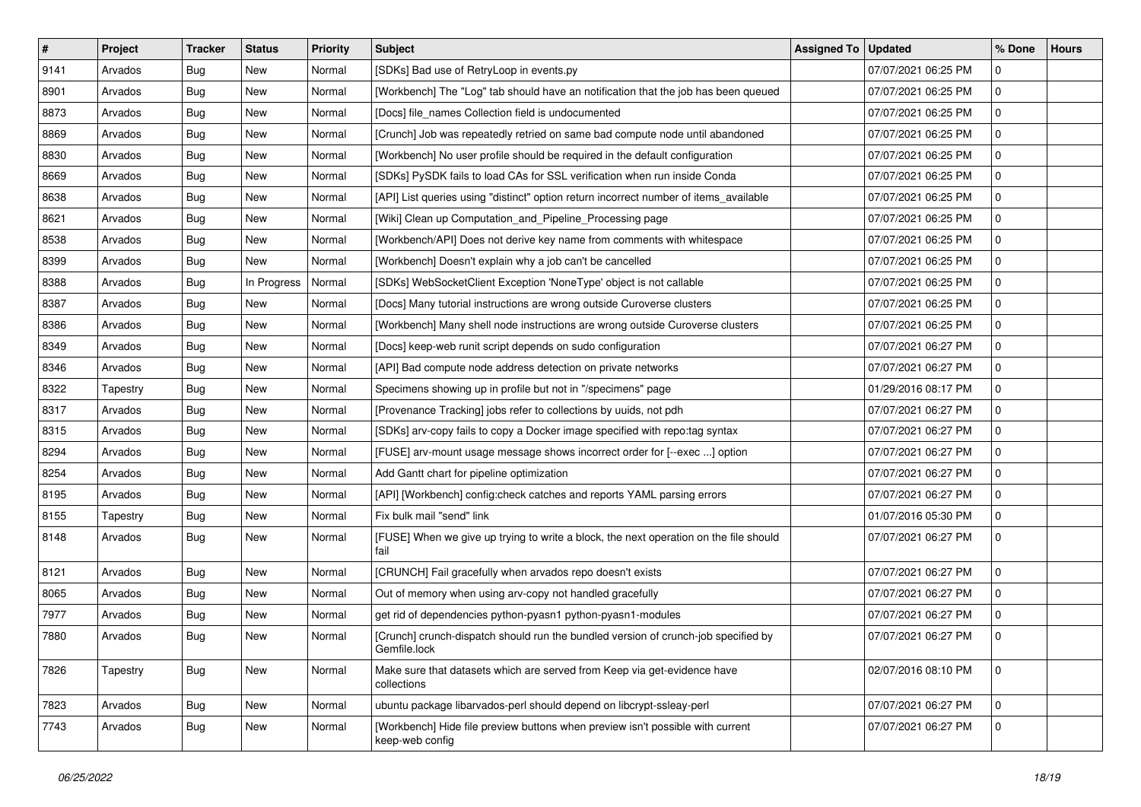| $\pmb{\#}$ | Project  | <b>Tracker</b> | <b>Status</b> | Priority | <b>Subject</b>                                                                                     | Assigned To   Updated |                     | % Done      | <b>Hours</b> |
|------------|----------|----------------|---------------|----------|----------------------------------------------------------------------------------------------------|-----------------------|---------------------|-------------|--------------|
| 9141       | Arvados  | <b>Bug</b>     | New           | Normal   | [SDKs] Bad use of RetryLoop in events.py                                                           |                       | 07/07/2021 06:25 PM | 0           |              |
| 8901       | Arvados  | <b>Bug</b>     | New           | Normal   | [Workbench] The "Log" tab should have an notification that the job has been queued                 |                       | 07/07/2021 06:25 PM | $\mathbf 0$ |              |
| 8873       | Arvados  | Bug            | New           | Normal   | [Docs] file_names Collection field is undocumented                                                 |                       | 07/07/2021 06:25 PM | 0           |              |
| 8869       | Arvados  | Bug            | New           | Normal   | [Crunch] Job was repeatedly retried on same bad compute node until abandoned                       |                       | 07/07/2021 06:25 PM | 0           |              |
| 8830       | Arvados  | <b>Bug</b>     | New           | Normal   | [Workbench] No user profile should be required in the default configuration                        |                       | 07/07/2021 06:25 PM | 0           |              |
| 8669       | Arvados  | <b>Bug</b>     | New           | Normal   | [SDKs] PySDK fails to load CAs for SSL verification when run inside Conda                          |                       | 07/07/2021 06:25 PM | 0           |              |
| 8638       | Arvados  | Bug            | New           | Normal   | [API] List queries using "distinct" option return incorrect number of items_available              |                       | 07/07/2021 06:25 PM | 0           |              |
| 8621       | Arvados  | <b>Bug</b>     | New           | Normal   | [Wiki] Clean up Computation_and_Pipeline_Processing page                                           |                       | 07/07/2021 06:25 PM | 0           |              |
| 8538       | Arvados  | Bug            | New           | Normal   | [Workbench/API] Does not derive key name from comments with whitespace                             |                       | 07/07/2021 06:25 PM | 0           |              |
| 8399       | Arvados  | Bug            | New           | Normal   | [Workbench] Doesn't explain why a job can't be cancelled                                           |                       | 07/07/2021 06:25 PM | 0           |              |
| 8388       | Arvados  | <b>Bug</b>     | In Progress   | Normal   | [SDKs] WebSocketClient Exception 'NoneType' object is not callable                                 |                       | 07/07/2021 06:25 PM | 0           |              |
| 8387       | Arvados  | Bug            | New           | Normal   | [Docs] Many tutorial instructions are wrong outside Curoverse clusters                             |                       | 07/07/2021 06:25 PM | 0           |              |
| 8386       | Arvados  | <b>Bug</b>     | New           | Normal   | [Workbench] Many shell node instructions are wrong outside Curoverse clusters                      |                       | 07/07/2021 06:25 PM | 0           |              |
| 8349       | Arvados  | <b>Bug</b>     | New           | Normal   | [Docs] keep-web runit script depends on sudo configuration                                         |                       | 07/07/2021 06:27 PM | 0           |              |
| 8346       | Arvados  | <b>Bug</b>     | New           | Normal   | [API] Bad compute node address detection on private networks                                       |                       | 07/07/2021 06:27 PM | 0           |              |
| 8322       | Tapestry | Bug            | New           | Normal   | Specimens showing up in profile but not in "/specimens" page                                       |                       | 01/29/2016 08:17 PM | 0           |              |
| 8317       | Arvados  | <b>Bug</b>     | New           | Normal   | [Provenance Tracking] jobs refer to collections by uuids, not pdh                                  |                       | 07/07/2021 06:27 PM | 0           |              |
| 8315       | Arvados  | <b>Bug</b>     | New           | Normal   | [SDKs] arv-copy fails to copy a Docker image specified with repo:tag syntax                        |                       | 07/07/2021 06:27 PM | 0           |              |
| 8294       | Arvados  | <b>Bug</b>     | New           | Normal   | [FUSE] arv-mount usage message shows incorrect order for [--exec ] option                          |                       | 07/07/2021 06:27 PM | 0           |              |
| 8254       | Arvados  | <b>Bug</b>     | <b>New</b>    | Normal   | Add Gantt chart for pipeline optimization                                                          |                       | 07/07/2021 06:27 PM | 0           |              |
| 8195       | Arvados  | <b>Bug</b>     | New           | Normal   | [API] [Workbench] config:check catches and reports YAML parsing errors                             |                       | 07/07/2021 06:27 PM | 0           |              |
| 8155       | Tapestry | <b>Bug</b>     | New           | Normal   | Fix bulk mail "send" link                                                                          |                       | 01/07/2016 05:30 PM | $\pmb{0}$   |              |
| 8148       | Arvados  | Bug            | New           | Normal   | [FUSE] When we give up trying to write a block, the next operation on the file should<br>fail      |                       | 07/07/2021 06:27 PM | $\mathbf 0$ |              |
| 8121       | Arvados  | <b>Bug</b>     | New           | Normal   | [CRUNCH] Fail gracefully when arvados repo doesn't exists                                          |                       | 07/07/2021 06:27 PM | $\mathbf 0$ |              |
| 8065       | Arvados  | <b>Bug</b>     | New           | Normal   | Out of memory when using arv-copy not handled gracefully                                           |                       | 07/07/2021 06:27 PM | 0           |              |
| 7977       | Arvados  | <b>Bug</b>     | New           | Normal   | get rid of dependencies python-pyasn1 python-pyasn1-modules                                        |                       | 07/07/2021 06:27 PM | 0           |              |
| 7880       | Arvados  | <b>Bug</b>     | New           | Normal   | [Crunch] crunch-dispatch should run the bundled version of crunch-job specified by<br>Gemfile.lock |                       | 07/07/2021 06:27 PM | $\mathbf 0$ |              |
| 7826       | Tapestry | Bug            | New           | Normal   | Make sure that datasets which are served from Keep via get-evidence have<br>collections            |                       | 02/07/2016 08:10 PM | $\mathbf 0$ |              |
| 7823       | Arvados  | Bug            | New           | Normal   | ubuntu package libarvados-perl should depend on libcrypt-ssleay-perl                               |                       | 07/07/2021 06:27 PM | $\mathbf 0$ |              |
| 7743       | Arvados  | Bug            | New           | Normal   | [Workbench] Hide file preview buttons when preview isn't possible with current<br>keep-web config  |                       | 07/07/2021 06:27 PM | $\mathbf 0$ |              |